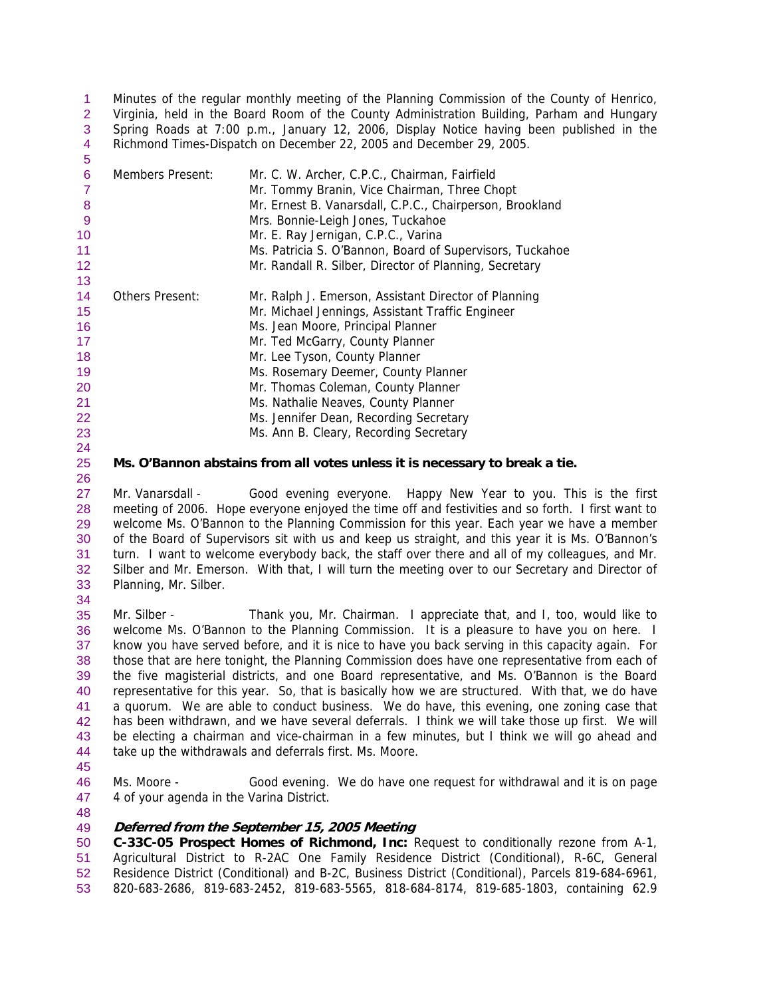Minutes of the regular monthly meeting of the Planning Commission of the County of Henrico, Virginia, held in the Board Room of the County Administration Building, Parham and Hungary Spring Roads at 7:00 p.m., January 12, 2006, Display Notice having been published in the Richmond Times-Dispatch on December 22, 2005 and December 29, 2005. 1  $\mathcal{P}$ 3 4

| 5                 |                  |                                                          |
|-------------------|------------------|----------------------------------------------------------|
| 6                 | Members Present: | Mr. C. W. Archer, C.P.C., Chairman, Fairfield            |
|                   |                  | Mr. Tommy Branin, Vice Chairman, Three Chopt             |
| 8                 |                  | Mr. Ernest B. Vanarsdall, C.P.C., Chairperson, Brookland |
| 9                 |                  | Mrs. Bonnie-Leigh Jones, Tuckahoe                        |
| 10                |                  | Mr. E. Ray Jernigan, C.P.C., Varina                      |
| 11                |                  | Ms. Patricia S. O'Bannon, Board of Supervisors, Tuckahoe |
| $12 \overline{ }$ |                  | Mr. Randall R. Silber, Director of Planning, Secretary   |
| 13                |                  |                                                          |
| 14                | Others Present:  | Mr. Ralph J. Emerson, Assistant Director of Planning     |
| 15                |                  | Mr. Michael Jennings, Assistant Traffic Engineer         |
| 16                |                  | Ms. Jean Moore, Principal Planner                        |
| 17                |                  | Mr. Ted McGarry, County Planner                          |
| 18                |                  | Mr. Lee Tyson, County Planner                            |
| 19                |                  | Ms. Rosemary Deemer, County Planner                      |
| 20                |                  | Mr. Thomas Coleman, County Planner                       |
| 21                |                  | Ms. Nathalie Neaves, County Planner                      |
| 22                |                  | Ms. Jennifer Dean, Recording Secretary                   |
| 23                |                  | Ms. Ann B. Cleary, Recording Secretary                   |
| 24                |                  |                                                          |

# **Ms. O'Bannon abstains from all votes unless it is necessary to break a tie.**

27 28 29 30 31 32 33 Mr. Vanarsdall - Good evening everyone. Happy New Year to you. This is the first meeting of 2006. Hope everyone enjoyed the time off and festivities and so forth. I first want to welcome Ms. O'Bannon to the Planning Commission for this year. Each year we have a member of the Board of Supervisors sit with us and keep us straight, and this year it is Ms. O'Bannon's turn. I want to welcome everybody back, the staff over there and all of my colleagues, and Mr. Silber and Mr. Emerson. With that, I will turn the meeting over to our Secretary and Director of Planning, Mr. Silber.

35 36 37 38 39 40 41 42 43 44 Mr. Silber - Thank you, Mr. Chairman. I appreciate that, and I, too, would like to welcome Ms. O'Bannon to the Planning Commission. It is a pleasure to have you on here. I know you have served before, and it is nice to have you back serving in this capacity again. For those that are here tonight, the Planning Commission does have one representative from each of the five magisterial districts, and one Board representative, and Ms. O'Bannon is the Board representative for this year. So, that is basically how we are structured. With that, we do have a quorum. We are able to conduct business. We do have, this evening, one zoning case that has been withdrawn, and we have several deferrals. I think we will take those up first. We will be electing a chairman and vice-chairman in a few minutes, but I think we will go ahead and take up the withdrawals and deferrals first. Ms. Moore.

45

25 26

34

- 46 47 Ms. Moore - Good evening. We do have one request for withdrawal and it is on page 4 of your agenda in the Varina District.
- 48

### 49 **Deferred from the September 15, 2005 Meeting**

50 51 52 53 **C-33C-05 Prospect Homes of Richmond, Inc:** Request to conditionally rezone from A-1, Agricultural District to R-2AC One Family Residence District (Conditional), R-6C, General Residence District (Conditional) and B-2C, Business District (Conditional), Parcels 819-684-6961, 820-683-2686, 819-683-2452, 819-683-5565, 818-684-8174, 819-685-1803, containing 62.9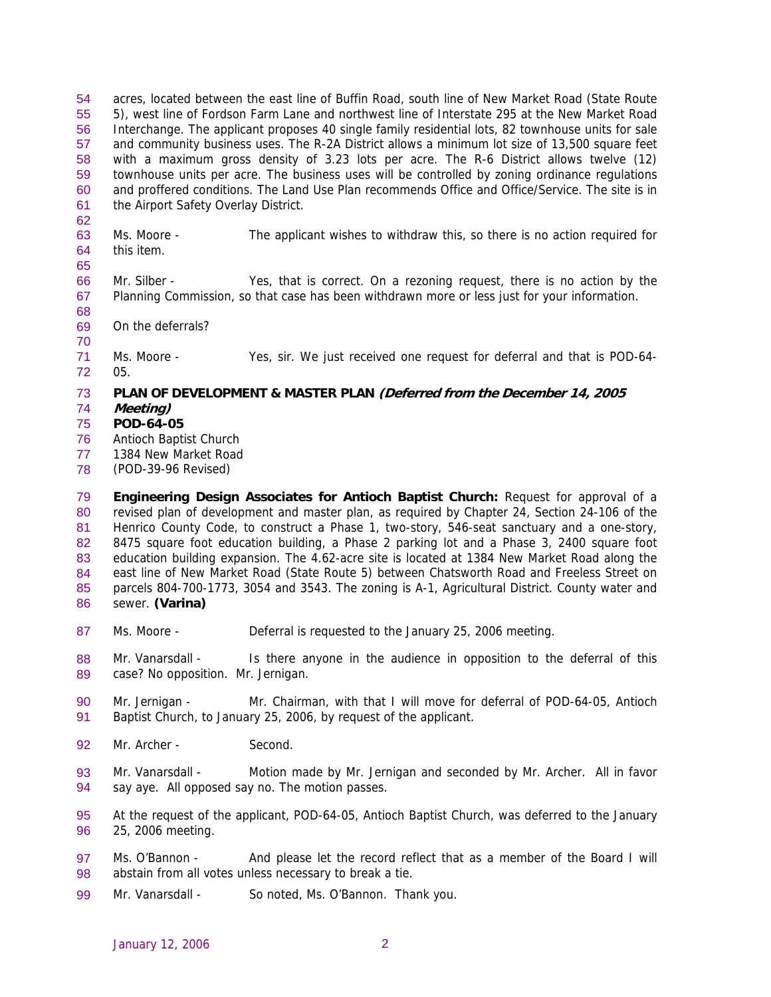acres, located between the east line of Buffin Road, south line of New Market Road (State Route 5), west line of Fordson Farm Lane and northwest line of Interstate 295 at the New Market Road Interchange. The applicant proposes 40 single family residential lots, 82 townhouse units for sale and community business uses. The R-2A District allows a minimum lot size of 13,500 square feet with a maximum gross density of 3.23 lots per acre. The R-6 District allows twelve (12) townhouse units per acre. The business uses will be controlled by zoning ordinance regulations and proffered conditions. The Land Use Plan recommends Office and Office/Service. The site is in the Airport Safety Overlay District. 54 55 56 57 58 59 60 61

- 63 64 Ms. Moore - The applicant wishes to withdraw this, so there is no action required for this item.
- 66 67 Mr. Silber - Yes, that is correct. On a rezoning request, there is no action by the Planning Commission, so that case has been withdrawn more or less just for your information.
- 68 69 On the deferrals?
- 70

71 72 Ms. Moore - Yes, sir. We just received one request for deferral and that is POD-64- 05.

### 73 **PLAN OF DEVELOPMENT & MASTER PLAN (Deferred from the December 14, 2005**

74 **Meeting)** 

62

65

- 75 **POD-64-05**
- 76 Antioch Baptist Church
- 77 1384 New Market Road
- 78 (POD-39-96 Revised)

79 80 81 82 83 84 85 86 **Engineering Design Associates for Antioch Baptist Church:** Request for approval of a revised plan of development and master plan, as required by Chapter 24, Section 24-106 of the Henrico County Code, to construct a Phase 1, two-story, 546-seat sanctuary and a one-story, 8475 square foot education building, a Phase 2 parking lot and a Phase 3, 2400 square foot education building expansion. The 4.62-acre site is located at 1384 New Market Road along the east line of New Market Road (State Route 5) between Chatsworth Road and Freeless Street on parcels 804-700-1773, 3054 and 3543. The zoning is A-1, Agricultural District. County water and sewer. **(Varina)** 

- 87 Ms. Moore - Deferral is requested to the January 25, 2006 meeting.
- 88 89 Mr. Vanarsdall - Is there anyone in the audience in opposition to the deferral of this case? No opposition. Mr. Jernigan.
- 90 91 Mr. Jernigan - Mr. Chairman, with that I will move for deferral of POD-64-05, Antioch Baptist Church, to January 25, 2006, by request of the applicant.
- 92 Mr. Archer - Second.
- 93 94 Mr. Vanarsdall - Motion made by Mr. Jernigan and seconded by Mr. Archer. All in favor say aye. All opposed say no. The motion passes.
- 95 96 At the request of the applicant, POD-64-05, Antioch Baptist Church, was deferred to the January 25, 2006 meeting.
- 97 98 Ms. O'Bannon - And please let the record reflect that as a member of the Board I will abstain from all votes unless necessary to break a tie.
- 99 Mr. Vanarsdall - So noted, Ms. O'Bannon. Thank you.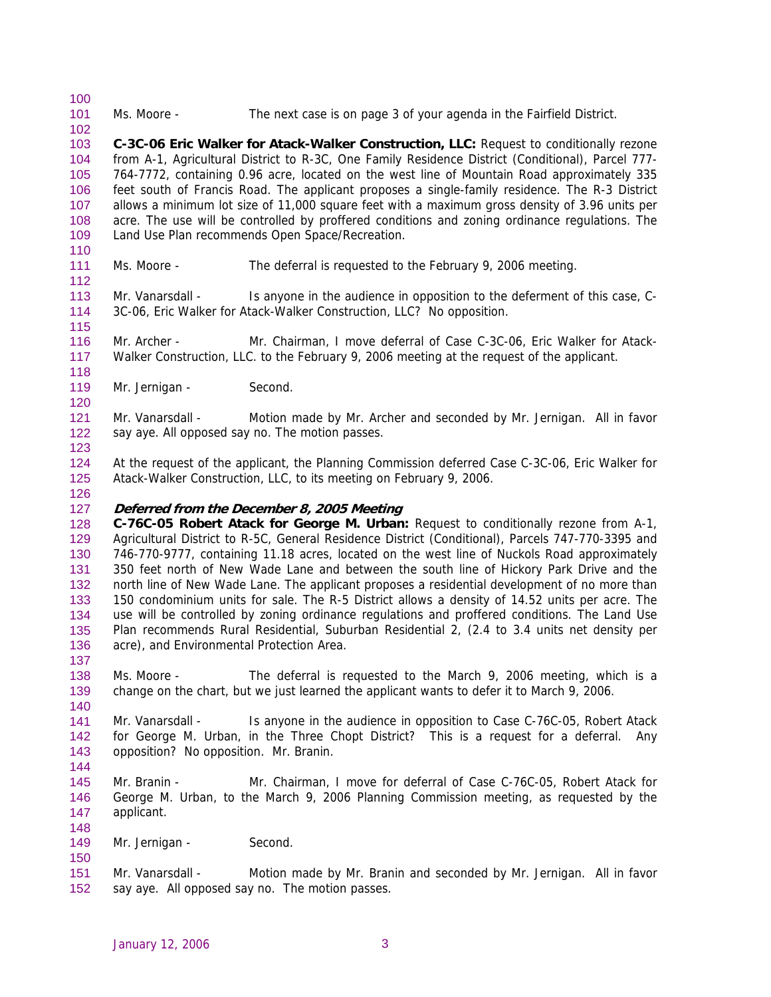101 Ms. Moore - The next case is on page 3 of your agenda in the Fairfield District.

103 104 105 106 107 108 109 **C-3C-06 Eric Walker for Atack-Walker Construction, LLC:** Request to conditionally rezone from A-1, Agricultural District to R-3C, One Family Residence District (Conditional), Parcel 777- 764-7772, containing 0.96 acre, located on the west line of Mountain Road approximately 335 feet south of Francis Road. The applicant proposes a single-family residence. The R-3 District allows a minimum lot size of 11,000 square feet with a maximum gross density of 3.96 units per acre. The use will be controlled by proffered conditions and zoning ordinance regulations. The Land Use Plan recommends Open Space/Recreation.

110 111

112

115

118

120

123

126

137

140

144

148

150

100

102

Ms. Moore - The deferral is requested to the February 9, 2006 meeting.

113 114 Mr. Vanarsdall - Is anyone in the audience in opposition to the deferment of this case, C-3C-06, Eric Walker for Atack-Walker Construction, LLC? No opposition.

116 117 Mr. Archer - Mr. Chairman, I move deferral of Case C-3C-06, Eric Walker for Atack-Walker Construction, LLC. to the February 9, 2006 meeting at the request of the applicant.

119 Mr. Jernigan - Second.

121 122 Mr. Vanarsdall - Motion made by Mr. Archer and seconded by Mr. Jernigan. All in favor say aye. All opposed say no. The motion passes.

124 125 At the request of the applicant, the Planning Commission deferred Case C-3C-06, Eric Walker for Atack-Walker Construction, LLC, to its meeting on February 9, 2006.

#### 127 **Deferred from the December 8, 2005 Meeting**

128 129 130 131 132 133 134 135 136 **C-76C-05 Robert Atack for George M. Urban:** Request to conditionally rezone from A-1, Agricultural District to R-5C, General Residence District (Conditional), Parcels 747-770-3395 and 746-770-9777, containing 11.18 acres, located on the west line of Nuckols Road approximately 350 feet north of New Wade Lane and between the south line of Hickory Park Drive and the north line of New Wade Lane. The applicant proposes a residential development of no more than 150 condominium units for sale. The R-5 District allows a density of 14.52 units per acre. The use will be controlled by zoning ordinance regulations and proffered conditions. The Land Use Plan recommends Rural Residential, Suburban Residential 2, (2.4 to 3.4 units net density per acre), and Environmental Protection Area.

138 139 Ms. Moore - The deferral is requested to the March 9, 2006 meeting, which is a change on the chart, but we just learned the applicant wants to defer it to March 9, 2006.

141 142 143 Mr. Vanarsdall - Is anyone in the audience in opposition to Case C-76C-05, Robert Atack for George M. Urban, in the Three Chopt District? This is a request for a deferral. Any opposition? No opposition. Mr. Branin.

- 145 146 147 Mr. Branin - Mr. Chairman, I move for deferral of Case C-76C-05, Robert Atack for George M. Urban, to the March 9, 2006 Planning Commission meeting, as requested by the applicant.
- 149 Mr. Jernigan - Second.
- 151 152 Mr. Vanarsdall - Motion made by Mr. Branin and seconded by Mr. Jernigan. All in favor say aye. All opposed say no. The motion passes.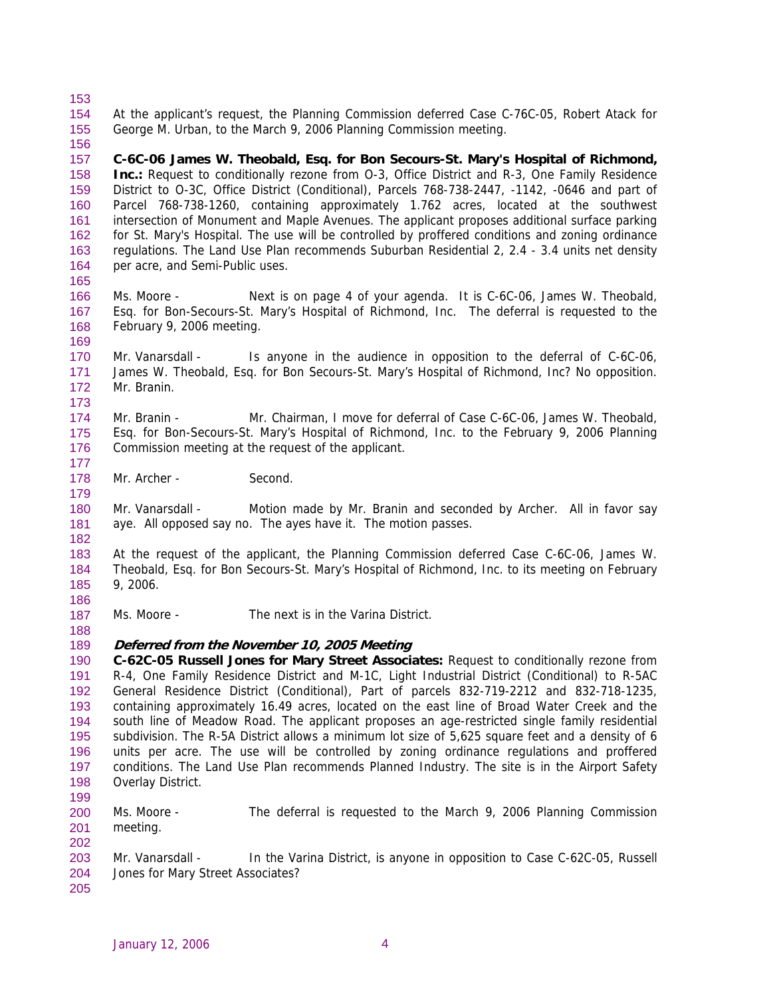- 153 154 155 156 At the applicant's request, the Planning Commission deferred Case C-76C-05, Robert Atack for George M. Urban, to the March 9, 2006 Planning Commission meeting.
- 157 158 159 160 161 162 163 164 **C-6C-06 James W. Theobald, Esq. for Bon Secours-St. Mary's Hospital of Richmond, Inc.:** Request to conditionally rezone from O-3, Office District and R-3, One Family Residence District to O-3C, Office District (Conditional), Parcels 768-738-2447, -1142, -0646 and part of Parcel 768-738-1260, containing approximately 1.762 acres, located at the southwest intersection of Monument and Maple Avenues. The applicant proposes additional surface parking for St. Mary's Hospital. The use will be controlled by proffered conditions and zoning ordinance regulations. The Land Use Plan recommends Suburban Residential 2, 2.4 - 3.4 units net density per acre, and Semi-Public uses.
- 166 167 168 Ms. Moore - Next is on page 4 of your agenda. It is C-6C-06, James W. Theobald, Esq. for Bon-Secours-St. Mary's Hospital of Richmond, Inc. The deferral is requested to the February 9, 2006 meeting.
- 170 171 172 Mr. Vanarsdall - Is anyone in the audience in opposition to the deferral of C-6C-06, James W. Theobald, Esq. for Bon Secours-St. Mary's Hospital of Richmond, Inc? No opposition. Mr. Branin.
- 174 175 176 Mr. Branin - Mr. Chairman, I move for deferral of Case C-6C-06, James W. Theobald, Esq. for Bon-Secours-St. Mary's Hospital of Richmond, Inc. to the February 9, 2006 Planning Commission meeting at the request of the applicant.
- 178 Mr. Archer - Second.
- 180 181 Mr. Vanarsdall - Motion made by Mr. Branin and seconded by Archer. All in favor say aye. All opposed say no. The ayes have it. The motion passes.
- 183 184 185 At the request of the applicant, the Planning Commission deferred Case C-6C-06, James W. Theobald, Esq. for Bon Secours-St. Mary's Hospital of Richmond, Inc. to its meeting on February 9, 2006.
- 187 Ms. Moore - The next is in the Varina District.
- 189 **Deferred from the November 10, 2005 Meeting**
- 190 191 192 193 194 195 196 197 198 **C-62C-05 Russell Jones for Mary Street Associates:** Request to conditionally rezone from R-4, One Family Residence District and M-1C, Light Industrial District (Conditional) to R-5AC General Residence District (Conditional), Part of parcels 832-719-2212 and 832-718-1235, containing approximately 16.49 acres, located on the east line of Broad Water Creek and the south line of Meadow Road. The applicant proposes an age-restricted single family residential subdivision. The R-5A District allows a minimum lot size of 5,625 square feet and a density of 6 units per acre. The use will be controlled by zoning ordinance regulations and proffered conditions. The Land Use Plan recommends Planned Industry. The site is in the Airport Safety Overlay District.
- 199 200 Ms. Moore - The deferral is requested to the March 9, 2006 Planning Commission
- 201 meeting.
- 202 203 204 Mr. Vanarsdall - In the Varina District, is anyone in opposition to Case C-62C-05, Russell Jones for Mary Street Associates?
- 205

165

169

173

177

179

182

186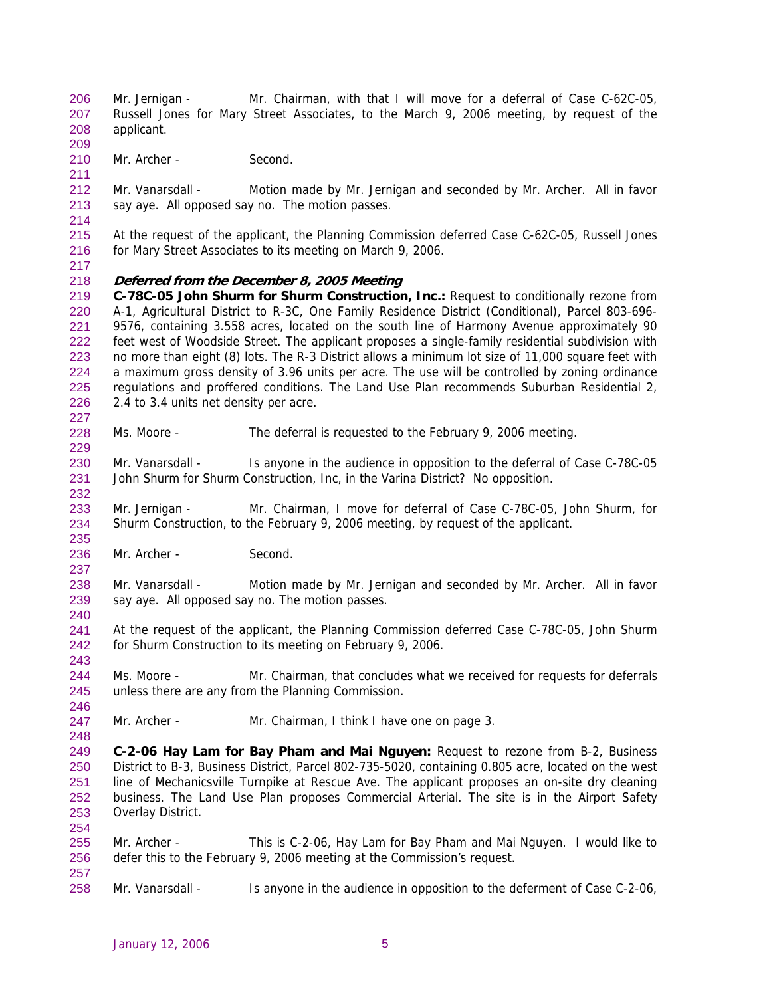Mr. Jernigan - Mr. Chairman, with that I will move for a deferral of Case C-62C-05, Russell Jones for Mary Street Associates, to the March 9, 2006 meeting, by request of the applicant. 206 207 208

210 Mr. Archer - Second.

212 213 Mr. Vanarsdall - Motion made by Mr. Jernigan and seconded by Mr. Archer. All in favor say aye. All opposed say no. The motion passes.

215 216 At the request of the applicant, the Planning Commission deferred Case C-62C-05, Russell Jones for Mary Street Associates to its meeting on March 9, 2006.

217

227

229

232

235

237

240

243

246

248

254

257

209

211

214

#### 218 **Deferred from the December 8, 2005 Meeting**

219 220 221 222 223 224 225 226 **C-78C-05 John Shurm for Shurm Construction, Inc.:** Request to conditionally rezone from A-1, Agricultural District to R-3C, One Family Residence District (Conditional), Parcel 803-696- 9576, containing 3.558 acres, located on the south line of Harmony Avenue approximately 90 feet west of Woodside Street. The applicant proposes a single-family residential subdivision with no more than eight (8) lots. The R-3 District allows a minimum lot size of 11,000 square feet with a maximum gross density of 3.96 units per acre. The use will be controlled by zoning ordinance regulations and proffered conditions. The Land Use Plan recommends Suburban Residential 2, 2.4 to 3.4 units net density per acre.

- 228 Ms. Moore - The deferral is requested to the February 9, 2006 meeting.
- 230 231 Mr. Vanarsdall - Is anyone in the audience in opposition to the deferral of Case C-78C-05 John Shurm for Shurm Construction, Inc, in the Varina District? No opposition.
- 233 234 Mr. Jernigan - Mr. Chairman, I move for deferral of Case C-78C-05, John Shurm, for Shurm Construction, to the February 9, 2006 meeting, by request of the applicant.
- 236 Mr. Archer - Second.
- 238 239 Mr. Vanarsdall - Motion made by Mr. Jernigan and seconded by Mr. Archer. All in favor say aye. All opposed say no. The motion passes.
- 241 242 At the request of the applicant, the Planning Commission deferred Case C-78C-05, John Shurm for Shurm Construction to its meeting on February 9, 2006.
- 244 245 Ms. Moore - Mr. Chairman, that concludes what we received for requests for deferrals unless there are any from the Planning Commission.
- 247 Mr. Archer - Mr. Chairman, I think I have one on page 3.

249 250 251 252 253 **C-2-06 Hay Lam for Bay Pham and Mai Nguyen:** Request to rezone from B-2, Business District to B-3, Business District, Parcel 802-735-5020, containing 0.805 acre, located on the west line of Mechanicsville Turnpike at Rescue Ave. The applicant proposes an on-site dry cleaning business. The Land Use Plan proposes Commercial Arterial. The site is in the Airport Safety Overlay District.

- 255 256 Mr. Archer - This is C-2-06, Hay Lam for Bay Pham and Mai Nguyen. I would like to defer this to the February 9, 2006 meeting at the Commission's request.
- 258 Mr. Vanarsdall - Is anyone in the audience in opposition to the deferment of Case C-2-06,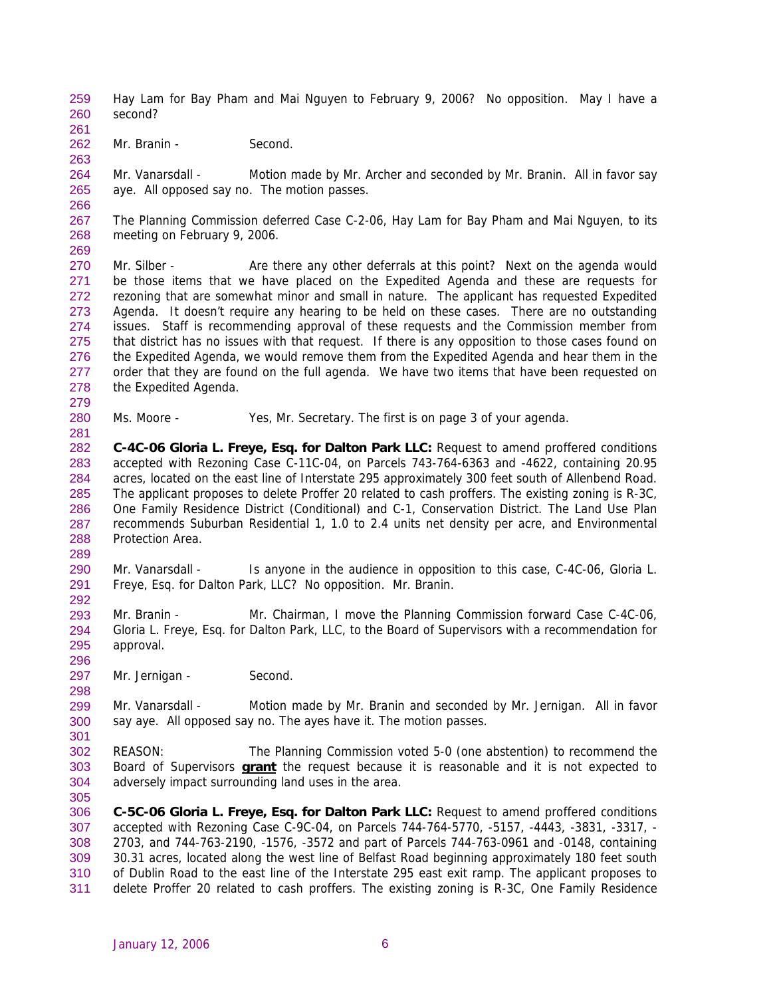- Hay Lam for Bay Pham and Mai Nguyen to February 9, 2006? No opposition. May I have a second? 259 260
- 261 262

263

Mr. Branin - Second.

264 265 Mr. Vanarsdall - Motion made by Mr. Archer and seconded by Mr. Branin. All in favor say aye. All opposed say no. The motion passes.

266

269

279

281

289

296

298

267 268 The Planning Commission deferred Case C-2-06, Hay Lam for Bay Pham and Mai Nguyen, to its meeting on February 9, 2006.

- 270 271 272 273 274 275 276 277 278 Mr. Silber - Are there any other deferrals at this point? Next on the agenda would be those items that we have placed on the Expedited Agenda and these are requests for rezoning that are somewhat minor and small in nature. The applicant has requested Expedited Agenda. It doesn't require any hearing to be held on these cases. There are no outstanding issues. Staff is recommending approval of these requests and the Commission member from that district has no issues with that request. If there is any opposition to those cases found on the Expedited Agenda, we would remove them from the Expedited Agenda and hear them in the order that they are found on the full agenda. We have two items that have been requested on the Expedited Agenda.
- 280 Ms. Moore - Yes, Mr. Secretary. The first is on page 3 of your agenda.
- 282 283 284 285 286 287 288 **C-4C-06 Gloria L. Freye, Esq. for Dalton Park LLC:** Request to amend proffered conditions accepted with Rezoning Case C-11C-04, on Parcels 743-764-6363 and -4622, containing 20.95 acres, located on the east line of Interstate 295 approximately 300 feet south of Allenbend Road. The applicant proposes to delete Proffer 20 related to cash proffers. The existing zoning is R-3C, One Family Residence District (Conditional) and C-1, Conservation District. The Land Use Plan recommends Suburban Residential 1, 1.0 to 2.4 units net density per acre, and Environmental Protection Area.
- 290 291 292 Mr. Vanarsdall - Is anyone in the audience in opposition to this case, C-4C-06, Gloria L. Freye, Esq. for Dalton Park, LLC? No opposition. Mr. Branin.
- 293 294 295 Mr. Branin - Mr. Chairman, I move the Planning Commission forward Case C-4C-06, Gloria L. Freye, Esq. for Dalton Park, LLC, to the Board of Supervisors with a recommendation for approval.
- 297 Mr. Jernigan - Second.

299 300 301 Mr. Vanarsdall - Motion made by Mr. Branin and seconded by Mr. Jernigan. All in favor say aye. All opposed say no. The ayes have it. The motion passes.

- 302 REASON: The Planning Commission voted 5-0 (one abstention) to recommend the Board of Supervisors **grant** the request because it is reasonable and it is not expected to adversely impact surrounding land uses in the area. 303 304
- 305

306 307 308 309 310 311 **C-5C-06 Gloria L. Freye, Esq. for Dalton Park LLC:** Request to amend proffered conditions accepted with Rezoning Case C-9C-04, on Parcels 744-764-5770, -5157, -4443, -3831, -3317, - 2703, and 744-763-2190, -1576, -3572 and part of Parcels 744-763-0961 and -0148, containing 30.31 acres, located along the west line of Belfast Road beginning approximately 180 feet south of Dublin Road to the east line of the Interstate 295 east exit ramp. The applicant proposes to delete Proffer 20 related to cash proffers. The existing zoning is R-3C, One Family Residence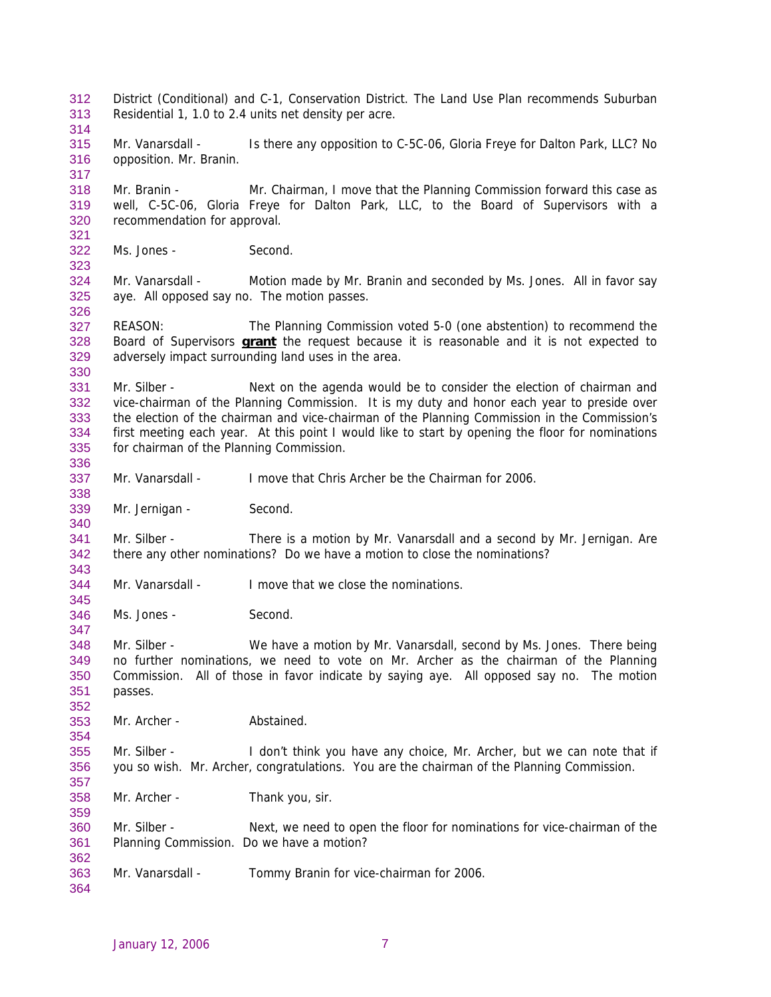District (Conditional) and C-1, Conservation District. The Land Use Plan recommends Suburban Residential 1, 1.0 to 2.4 units net density per acre. 312 313 314 315 316 317 318 319 320 321 322 323 324 325 326 327 Mr. Vanarsdall - Is there any opposition to C-5C-06, Gloria Freye for Dalton Park, LLC? No opposition. Mr. Branin. Mr. Branin - Mr. Chairman, I move that the Planning Commission forward this case as well, C-5C-06, Gloria Freye for Dalton Park, LLC, to the Board of Supervisors with a recommendation for approval. Ms. Jones - Second. Mr. Vanarsdall - Motion made by Mr. Branin and seconded by Ms. Jones. All in favor say aye. All opposed say no. The motion passes. REASON: The Planning Commission voted 5-0 (one abstention) to recommend the Board of Supervisors **grant** the request because it is reasonable and it is not expected to adversely impact surrounding land uses in the area. 328 329 330 331 332 333 334 335 336 337 338 339 340 341 342 343 344 345 346 347 348 349 350 351 352 353 354 355 356 357 358 359 360 361 362 363 364 Mr. Silber - Next on the agenda would be to consider the election of chairman and vice-chairman of the Planning Commission. It is my duty and honor each year to preside over the election of the chairman and vice-chairman of the Planning Commission in the Commission's first meeting each year. At this point I would like to start by opening the floor for nominations for chairman of the Planning Commission. Mr. Vanarsdall - I move that Chris Archer be the Chairman for 2006. Mr. Jernigan - Second. Mr. Silber - There is a motion by Mr. Vanarsdall and a second by Mr. Jernigan. Are there any other nominations? Do we have a motion to close the nominations? Mr. Vanarsdall - I move that we close the nominations. Ms. Jones - Second. Mr. Silber - We have a motion by Mr. Vanarsdall, second by Ms. Jones. There being no further nominations, we need to vote on Mr. Archer as the chairman of the Planning Commission. All of those in favor indicate by saying aye. All opposed say no. The motion passes. Mr. Archer - **Abstained.** Mr. Silber - I don't think you have any choice, Mr. Archer, but we can note that if you so wish. Mr. Archer, congratulations. You are the chairman of the Planning Commission. Mr. Archer - Thank you, sir. Mr. Silber - Next, we need to open the floor for nominations for vice-chairman of the Planning Commission. Do we have a motion? Mr. Vanarsdall - Tommy Branin for vice-chairman for 2006.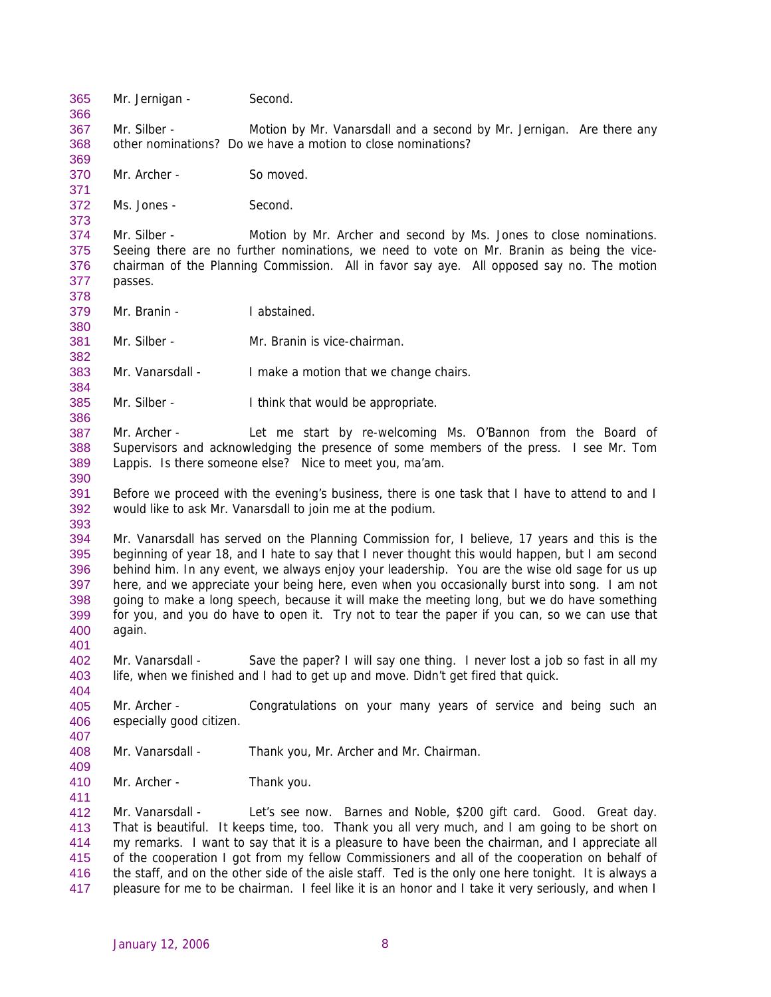365 Mr. Jernigan - Second. 366 367 368 369 370 371 372 373 374 375 376 377 378 379 380 381 382 383 384 385 386 387 388 389 390 391 392 393 394 395 396 397 398 399 400 401 402 403 404 405 406 407 408 409 410 411 412 413 414 415 416 417 Mr. Silber - Motion by Mr. Vanarsdall and a second by Mr. Jernigan. Are there any other nominations? Do we have a motion to close nominations? Mr. Archer - So moved. Ms. Jones - Second. Mr. Silber - Motion by Mr. Archer and second by Ms. Jones to close nominations. Seeing there are no further nominations, we need to vote on Mr. Branin as being the vicechairman of the Planning Commission. All in favor say aye. All opposed say no. The motion passes. Mr. Branin - I abstained. Mr. Silber - Mr. Branin is vice-chairman. Mr. Vanarsdall - I make a motion that we change chairs. Mr. Silber - I think that would be appropriate. Mr. Archer - Let me start by re-welcoming Ms. O'Bannon from the Board of Supervisors and acknowledging the presence of some members of the press. I see Mr. Tom Lappis. Is there someone else? Nice to meet you, ma'am. Before we proceed with the evening's business, there is one task that I have to attend to and I would like to ask Mr. Vanarsdall to join me at the podium. Mr. Vanarsdall has served on the Planning Commission for, I believe, 17 years and this is the beginning of year 18, and I hate to say that I never thought this would happen, but I am second behind him. In any event, we always enjoy your leadership. You are the wise old sage for us up here, and we appreciate your being here, even when you occasionally burst into song. I am not going to make a long speech, because it will make the meeting long, but we do have something for you, and you do have to open it. Try not to tear the paper if you can, so we can use that again. Mr. Vanarsdall - Save the paper? I will say one thing. I never lost a job so fast in all my life, when we finished and I had to get up and move. Didn't get fired that quick. Mr. Archer - Congratulations on your many years of service and being such an especially good citizen. Mr. Vanarsdall - Thank you, Mr. Archer and Mr. Chairman. Mr. Archer - Thank you. Mr. Vanarsdall - Let's see now. Barnes and Noble, \$200 gift card. Good. Great day. That is beautiful. It keeps time, too. Thank you all very much, and I am going to be short on my remarks. I want to say that it is a pleasure to have been the chairman, and I appreciate all of the cooperation I got from my fellow Commissioners and all of the cooperation on behalf of the staff, and on the other side of the aisle staff. Ted is the only one here tonight. It is always a pleasure for me to be chairman. I feel like it is an honor and I take it very seriously, and when I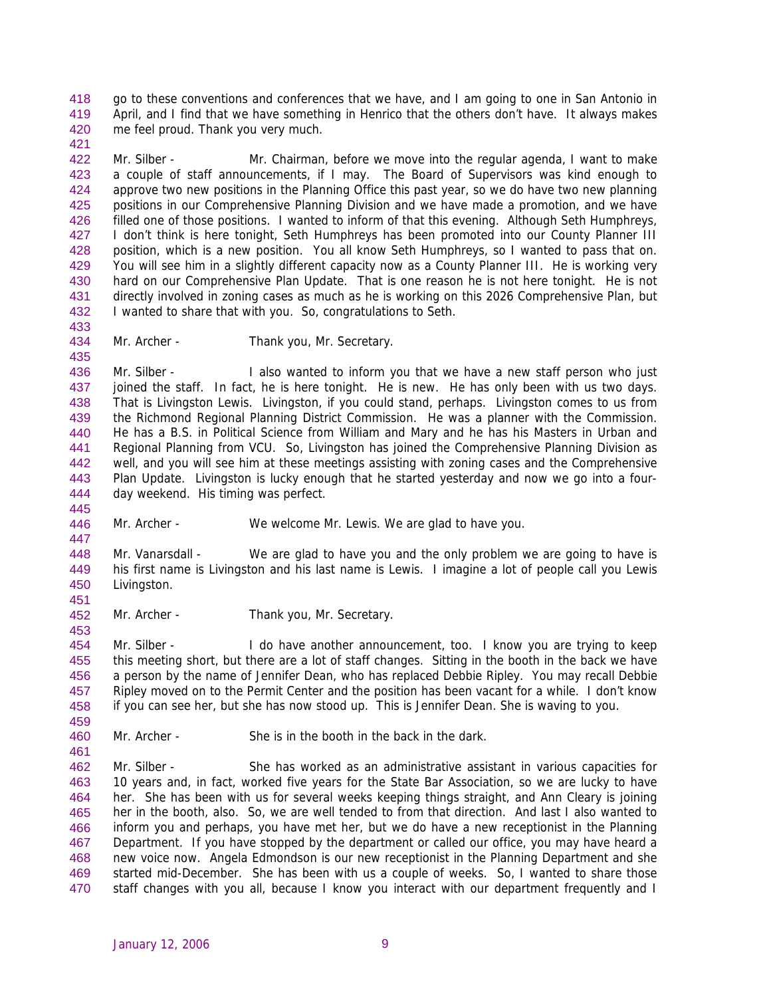go to these conventions and conferences that we have, and I am going to one in San Antonio in April, and I find that we have something in Henrico that the others don't have. It always makes me feel proud. Thank you very much. 418 419 420

422 423 424 425 426 427 428 429 430 431 432 Mr. Silber - Mr. Chairman, before we move into the regular agenda, I want to make a couple of staff announcements, if I may. The Board of Supervisors was kind enough to approve two new positions in the Planning Office this past year, so we do have two new planning positions in our Comprehensive Planning Division and we have made a promotion, and we have filled one of those positions. I wanted to inform of that this evening. Although Seth Humphreys, I don't think is here tonight, Seth Humphreys has been promoted into our County Planner III position, which is a new position. You all know Seth Humphreys, so I wanted to pass that on. You will see him in a slightly different capacity now as a County Planner III. He is working very hard on our Comprehensive Plan Update. That is one reason he is not here tonight. He is not directly involved in zoning cases as much as he is working on this 2026 Comprehensive Plan, but I wanted to share that with you. So, congratulations to Seth.

433 434 435

445

461

421

Mr. Archer - Thank you, Mr. Secretary.

436 437 438 439 440 441 442 443 444 Mr. Silber - I also wanted to inform you that we have a new staff person who just joined the staff. In fact, he is here tonight. He is new. He has only been with us two days. That is Livingston Lewis. Livingston, if you could stand, perhaps. Livingston comes to us from the Richmond Regional Planning District Commission. He was a planner with the Commission. He has a B.S. in Political Science from William and Mary and he has his Masters in Urban and Regional Planning from VCU. So, Livingston has joined the Comprehensive Planning Division as well, and you will see him at these meetings assisting with zoning cases and the Comprehensive Plan Update. Livingston is lucky enough that he started yesterday and now we go into a fourday weekend. His timing was perfect.

446 447 Mr. Archer - We welcome Mr. Lewis. We are glad to have you.

448 449 450 451 Mr. Vanarsdall - We are glad to have you and the only problem we are going to have is his first name is Livingston and his last name is Lewis. I imagine a lot of people call you Lewis Livingston.

452 Mr. Archer - Thank you, Mr. Secretary.

453 454 455 456 457 458 459 Mr. Silber - I do have another announcement, too. I know you are trying to keep this meeting short, but there are a lot of staff changes. Sitting in the booth in the back we have a person by the name of Jennifer Dean, who has replaced Debbie Ripley. You may recall Debbie Ripley moved on to the Permit Center and the position has been vacant for a while. I don't know if you can see her, but she has now stood up. This is Jennifer Dean. She is waving to you.

460 Mr. Archer - She is in the booth in the back in the dark.

462 463 464 465 466 467 468 469 470 Mr. Silber - She has worked as an administrative assistant in various capacities for 10 years and, in fact, worked five years for the State Bar Association, so we are lucky to have her. She has been with us for several weeks keeping things straight, and Ann Cleary is joining her in the booth, also. So, we are well tended to from that direction. And last I also wanted to inform you and perhaps, you have met her, but we do have a new receptionist in the Planning Department. If you have stopped by the department or called our office, you may have heard a new voice now. Angela Edmondson is our new receptionist in the Planning Department and she started mid-December. She has been with us a couple of weeks. So, I wanted to share those staff changes with you all, because I know you interact with our department frequently and I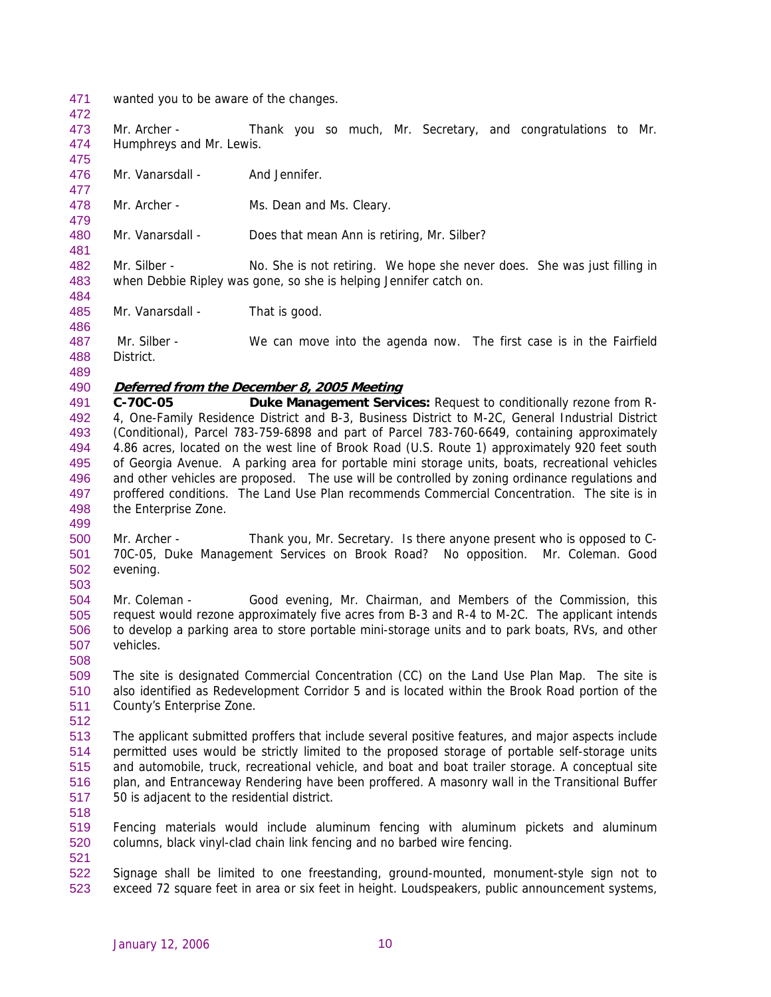- 471 wanted you to be aware of the changes.
- 472
- 473 474 475 Mr. Archer - Thank you so much, Mr. Secretary, and congratulations to Mr. Humphreys and Mr. Lewis.
- 476 Mr. Vanarsdall - And Jennifer.
- 478 Mr. Archer - Ms. Dean and Ms. Cleary.
- 480 Mr. Vanarsdall - Does that mean Ann is retiring, Mr. Silber?
- 482 483 Mr. Silber - No. She is not retiring. We hope she never does. She was just filling in when Debbie Ripley was gone, so she is helping Jennifer catch on.
- 485 Mr. Vanarsdall - That is good.
- 487 488 Mr. Silber - We can move into the agenda now. The first case is in the Fairfield District.
- 489

477

479

481

484

486

## 490 **Deferred from the December 8, 2005 Meeting**

- 491 492 493 494 495 496 497 498 **C-70C-05 Duke Management Services:** Request to conditionally rezone from R-4, One-Family Residence District and B-3, Business District to M-2C, General Industrial District (Conditional), Parcel 783-759-6898 and part of Parcel 783-760-6649, containing approximately 4.86 acres, located on the west line of Brook Road (U.S. Route 1) approximately 920 feet south of Georgia Avenue. A parking area for portable mini storage units, boats, recreational vehicles and other vehicles are proposed. The use will be controlled by zoning ordinance regulations and proffered conditions. The Land Use Plan recommends Commercial Concentration. The site is in the Enterprise Zone.
- 499
- 500 501 502 Mr. Archer - Thank you, Mr. Secretary. Is there anyone present who is opposed to C-70C-05, Duke Management Services on Brook Road? No opposition. Mr. Coleman. Good evening.
- 503
- 504 505 506 507 Mr. Coleman - Good evening, Mr. Chairman, and Members of the Commission, this request would rezone approximately five acres from B-3 and R-4 to M-2C. The applicant intends to develop a parking area to store portable mini-storage units and to park boats, RVs, and other vehicles.
- 509 510 511 The site is designated Commercial Concentration (CC) on the Land Use Plan Map. The site is also identified as Redevelopment Corridor 5 and is located within the Brook Road portion of the County's Enterprise Zone.
- 512

- 513 514 515 516 517 The applicant submitted proffers that include several positive features, and major aspects include permitted uses would be strictly limited to the proposed storage of portable self-storage units and automobile, truck, recreational vehicle, and boat and boat trailer storage. A conceptual site plan, and Entranceway Rendering have been proffered. A masonry wall in the Transitional Buffer 50 is adjacent to the residential district.
- 518
- 519 520 Fencing materials would include aluminum fencing with aluminum pickets and aluminum columns, black vinyl-clad chain link fencing and no barbed wire fencing.
- 521
- 522 523 Signage shall be limited to one freestanding, ground-mounted, monument-style sign not to exceed 72 square feet in area or six feet in height. Loudspeakers, public announcement systems,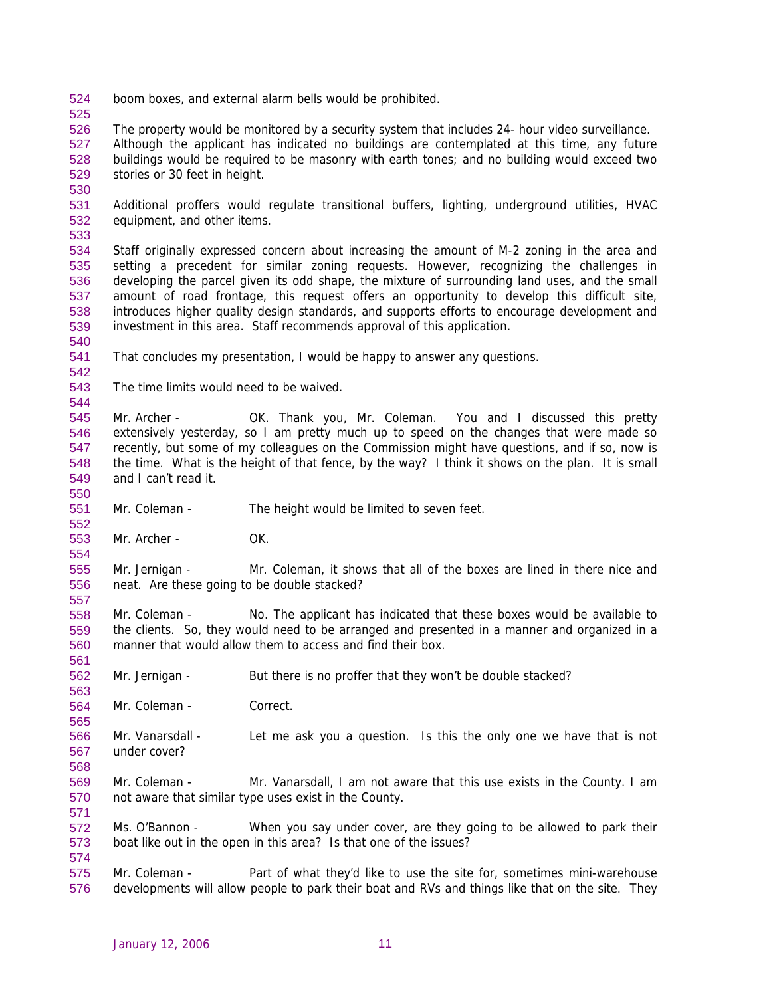- 524 boom boxes, and external alarm bells would be prohibited.
- 525

526 527 528 529 The property would be monitored by a security system that includes 24- hour video surveillance. Although the applicant has indicated no buildings are contemplated at this time, any future buildings would be required to be masonry with earth tones; and no building would exceed two stories or 30 feet in height.

530

531 532 Additional proffers would regulate transitional buffers, lighting, underground utilities, HVAC equipment, and other items.

533

534 535 536 537 538 539 Staff originally expressed concern about increasing the amount of M-2 zoning in the area and setting a precedent for similar zoning requests. However, recognizing the challenges in developing the parcel given its odd shape, the mixture of surrounding land uses, and the small amount of road frontage, this request offers an opportunity to develop this difficult site, introduces higher quality design standards, and supports efforts to encourage development and investment in this area. Staff recommends approval of this application.

540

542

544

550

552

554

557

561

563

565

568

571

574

541 That concludes my presentation, I would be happy to answer any questions.

543 The time limits would need to be waived.

545 546 547 548 549 Mr. Archer - **OK. Thank you, Mr. Coleman.** You and I discussed this pretty extensively yesterday, so I am pretty much up to speed on the changes that were made so recently, but some of my colleagues on the Commission might have questions, and if so, now is the time. What is the height of that fence, by the way? I think it shows on the plan. It is small and I can't read it.

- 551 Mr. Coleman - The height would be limited to seven feet.
- 553 Mr. Archer - OK.

555 556 Mr. Jernigan - Mr. Coleman, it shows that all of the boxes are lined in there nice and neat. Are these going to be double stacked?

- 558 559 560 Mr. Coleman - No. The applicant has indicated that these boxes would be available to the clients. So, they would need to be arranged and presented in a manner and organized in a manner that would allow them to access and find their box.
- 562 Mr. Jernigan - But there is no proffer that they won't be double stacked?
- 564 Mr. Coleman - Correct.
- 566 567 Mr. Vanarsdall - Let me ask you a question. Is this the only one we have that is not under cover?
- 569 570 Mr. Coleman - Mr. Vanarsdall, I am not aware that this use exists in the County. I am not aware that similar type uses exist in the County.
- 572 573 Ms. O'Bannon - When you say under cover, are they going to be allowed to park their boat like out in the open in this area? Is that one of the issues?
- 575 576 Mr. Coleman - Part of what they'd like to use the site for, sometimes mini-warehouse developments will allow people to park their boat and RVs and things like that on the site. They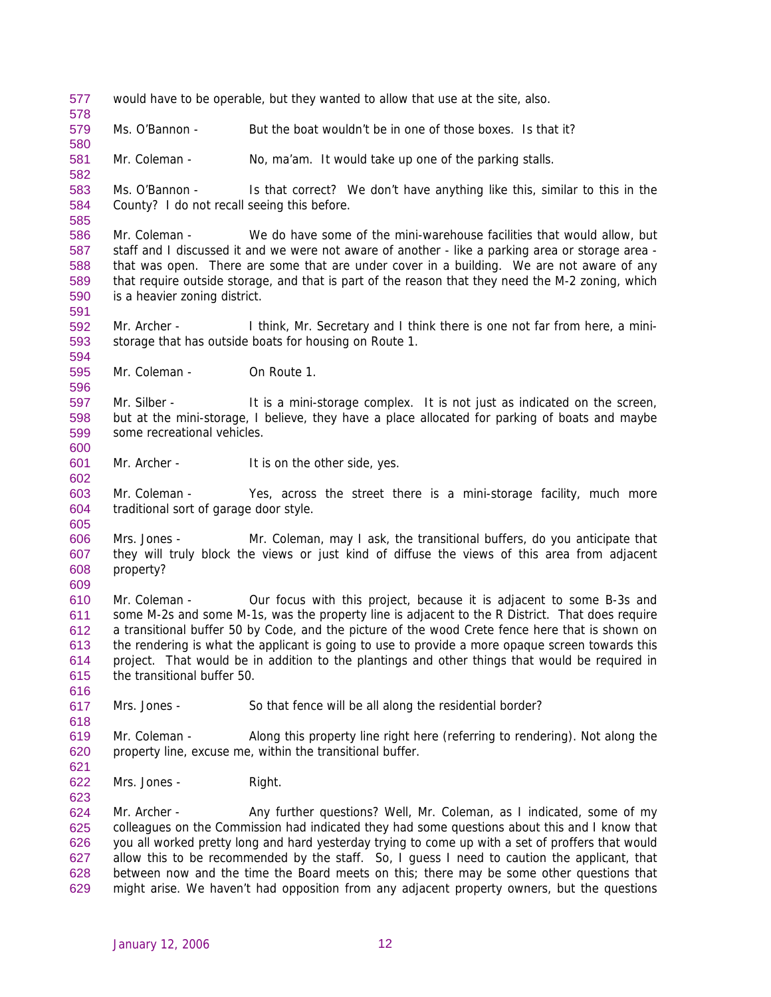577 would have to be operable, but they wanted to allow that use at the site, also.

579 Ms. O'Bannon - But the boat wouldn't be in one of those boxes. Is that it?

581 Mr. Coleman - No, ma'am. It would take up one of the parking stalls.

583 584 Ms. O'Bannon - Is that correct? We don't have anything like this, similar to this in the County? I do not recall seeing this before.

586 587 588 589 590 Mr. Coleman - We do have some of the mini-warehouse facilities that would allow, but staff and I discussed it and we were not aware of another - like a parking area or storage area that was open. There are some that are under cover in a building. We are not aware of any that require outside storage, and that is part of the reason that they need the M-2 zoning, which is a heavier zoning district.

592 593 Mr. Archer - I think, Mr. Secretary and I think there is one not far from here, a ministorage that has outside boats for housing on Route 1.

595 Mr. Coleman - On Route 1.

578

580

582

585

591

594

596

602

605

616

618

621

623

597 598 599 600 Mr. Silber - It is a mini-storage complex. It is not just as indicated on the screen, but at the mini-storage, I believe, they have a place allocated for parking of boats and maybe some recreational vehicles.

601 Mr. Archer - It is on the other side, yes.

603 604 Mr. Coleman - Yes, across the street there is a mini-storage facility, much more traditional sort of garage door style.

606 607 608 609 Mrs. Jones - Mr. Coleman, may I ask, the transitional buffers, do you anticipate that they will truly block the views or just kind of diffuse the views of this area from adjacent property?

610 611 612 613 614 615 Mr. Coleman - Our focus with this project, because it is adjacent to some B-3s and some M-2s and some M-1s, was the property line is adjacent to the R District. That does require a transitional buffer 50 by Code, and the picture of the wood Crete fence here that is shown on the rendering is what the applicant is going to use to provide a more opaque screen towards this project. That would be in addition to the plantings and other things that would be required in the transitional buffer 50.

617 Mrs. Jones - So that fence will be all along the residential border?

619 620 Mr. Coleman - Along this property line right here (referring to rendering). Not along the property line, excuse me, within the transitional buffer.

622 Mrs. Jones - Right.

624 625 626 627 628 629 Mr. Archer - Any further questions? Well, Mr. Coleman, as I indicated, some of my colleagues on the Commission had indicated they had some questions about this and I know that you all worked pretty long and hard yesterday trying to come up with a set of proffers that would allow this to be recommended by the staff. So, I guess I need to caution the applicant, that between now and the time the Board meets on this; there may be some other questions that might arise. We haven't had opposition from any adjacent property owners, but the questions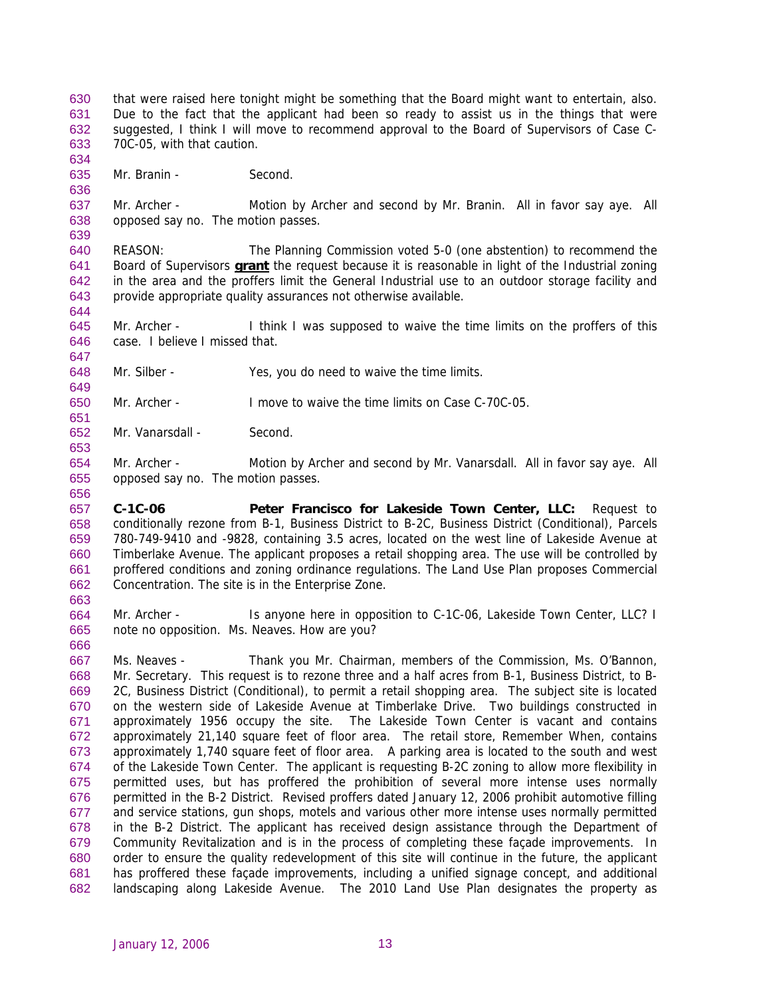that were raised here tonight might be something that the Board might want to entertain, also. Due to the fact that the applicant had been so ready to assist us in the things that were suggested, I think I will move to recommend approval to the Board of Supervisors of Case C-70C-05, with that caution. 630 631 632 633

635 Mr. Branin - Second.

634

636

647

649

651

653

656

663

666

637 638 639 Mr. Archer - Motion by Archer and second by Mr. Branin. All in favor say aye. All opposed say no. The motion passes.

640 REASON: The Planning Commission voted 5-0 (one abstention) to recommend the Board of Supervisors **grant** the request because it is reasonable in light of the Industrial zoning in the area and the proffers limit the General Industrial use to an outdoor storage facility and provide appropriate quality assurances not otherwise available. 641 642 643 644

645 646 Mr. Archer - I think I was supposed to waive the time limits on the proffers of this case. I believe I missed that.

- 648 Mr. Silber - Yes, you do need to waive the time limits.
- 650 Mr. Archer - I move to waive the time limits on Case C-70C-05.
- 652 Mr. Vanarsdall - Second.

654 655 Mr. Archer - Motion by Archer and second by Mr. Vanarsdall. All in favor say aye. All opposed say no. The motion passes.

657 658 659 660 661 662 **C-1C-06 Peter Francisco for Lakeside Town Center, LLC:** Request to conditionally rezone from B-1, Business District to B-2C, Business District (Conditional), Parcels 780-749-9410 and -9828, containing 3.5 acres, located on the west line of Lakeside Avenue at Timberlake Avenue. The applicant proposes a retail shopping area. The use will be controlled by proffered conditions and zoning ordinance regulations. The Land Use Plan proposes Commercial Concentration. The site is in the Enterprise Zone.

664 665 Mr. Archer - Is anyone here in opposition to C-1C-06, Lakeside Town Center, LLC? I note no opposition. Ms. Neaves. How are you?

667 668 669 670 671 672 673 674 675 676 677 678 679 680 681 682 Ms. Neaves - Thank you Mr. Chairman, members of the Commission, Ms. O'Bannon, Mr. Secretary. This request is to rezone three and a half acres from B-1, Business District, to B-2C, Business District (Conditional), to permit a retail shopping area. The subject site is located on the western side of Lakeside Avenue at Timberlake Drive. Two buildings constructed in approximately 1956 occupy the site. The Lakeside Town Center is vacant and contains approximately 21,140 square feet of floor area. The retail store, Remember When, contains approximately 1,740 square feet of floor area. A parking area is located to the south and west of the Lakeside Town Center. The applicant is requesting B-2C zoning to allow more flexibility in permitted uses, but has proffered the prohibition of several more intense uses normally permitted in the B-2 District. Revised proffers dated January 12, 2006 prohibit automotive filling and service stations, gun shops, motels and various other more intense uses normally permitted in the B-2 District. The applicant has received design assistance through the Department of Community Revitalization and is in the process of completing these façade improvements. In order to ensure the quality redevelopment of this site will continue in the future, the applicant has proffered these façade improvements, including a unified signage concept, and additional landscaping along Lakeside Avenue. The 2010 Land Use Plan designates the property as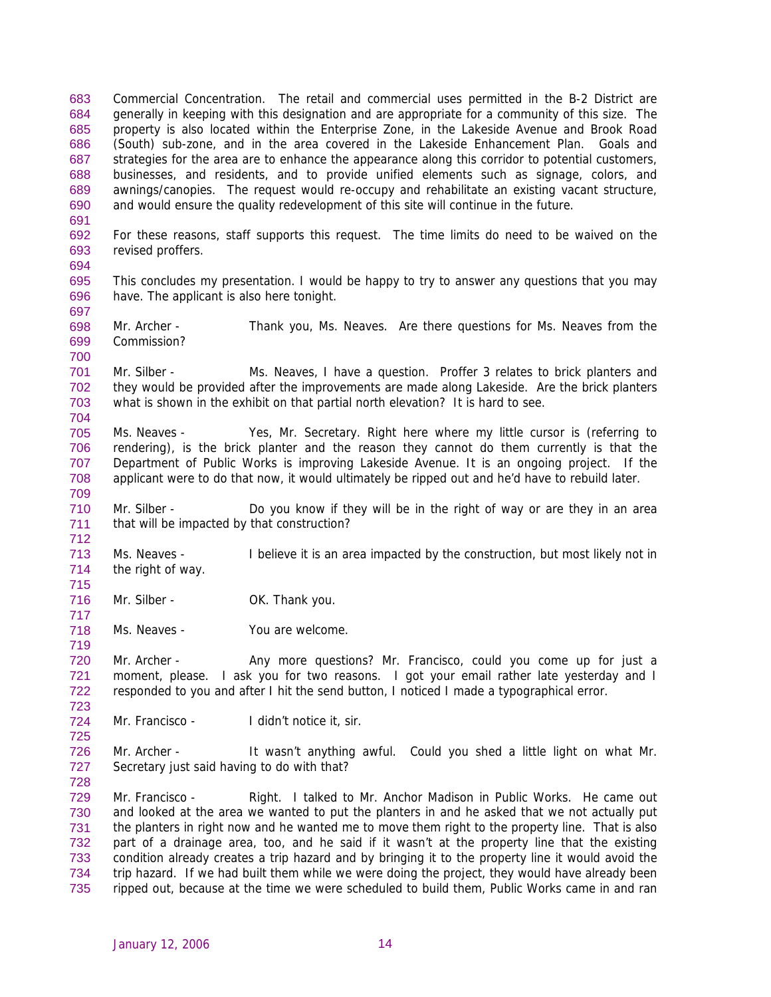Commercial Concentration. The retail and commercial uses permitted in the B-2 District are generally in keeping with this designation and are appropriate for a community of this size. The property is also located within the Enterprise Zone, in the Lakeside Avenue and Brook Road (South) sub-zone, and in the area covered in the Lakeside Enhancement Plan. Goals and strategies for the area are to enhance the appearance along this corridor to potential customers, businesses, and residents, and to provide unified elements such as signage, colors, and awnings/canopies. The request would re-occupy and rehabilitate an existing vacant structure, and would ensure the quality redevelopment of this site will continue in the future. 683 684 685 686 687 688 689 690

692 693 For these reasons, staff supports this request. The time limits do need to be waived on the revised proffers.

695 696 This concludes my presentation. I would be happy to try to answer any questions that you may have. The applicant is also here tonight.

698 699 Mr. Archer - Thank you, Ms. Neaves. Are there questions for Ms. Neaves from the Commission?

701 702 703 704 Mr. Silber - Ms. Neaves, I have a question. Proffer 3 relates to brick planters and they would be provided after the improvements are made along Lakeside. Are the brick planters what is shown in the exhibit on that partial north elevation? It is hard to see.

705 706 707 708 Ms. Neaves - Yes, Mr. Secretary. Right here where my little cursor is (referring to rendering), is the brick planter and the reason they cannot do them currently is that the Department of Public Works is improving Lakeside Avenue. It is an ongoing project. If the applicant were to do that now, it would ultimately be ripped out and he'd have to rebuild later.

710 711 Mr. Silber - Do you know if they will be in the right of way or are they in an area that will be impacted by that construction?

713 714 Ms. Neaves - I believe it is an area impacted by the construction, but most likely not in the right of way.

716 Mr. Silber - OK. Thank you.

691

694

697

700

709

712

715

717

719

723

725

718 Ms. Neaves - You are welcome.

720 721 722 Mr. Archer - Any more questions? Mr. Francisco, could you come up for just a moment, please. I ask you for two reasons. I got your email rather late yesterday and I responded to you and after I hit the send button, I noticed I made a typographical error.

724 Mr. Francisco - I didn't notice it, sir.

726 727 728 Mr. Archer - It wasn't anything awful. Could you shed a little light on what Mr. Secretary just said having to do with that?

729 730 731 732 733 734 735 Mr. Francisco - Right. I talked to Mr. Anchor Madison in Public Works. He came out and looked at the area we wanted to put the planters in and he asked that we not actually put the planters in right now and he wanted me to move them right to the property line. That is also part of a drainage area, too, and he said if it wasn't at the property line that the existing condition already creates a trip hazard and by bringing it to the property line it would avoid the trip hazard. If we had built them while we were doing the project, they would have already been ripped out, because at the time we were scheduled to build them, Public Works came in and ran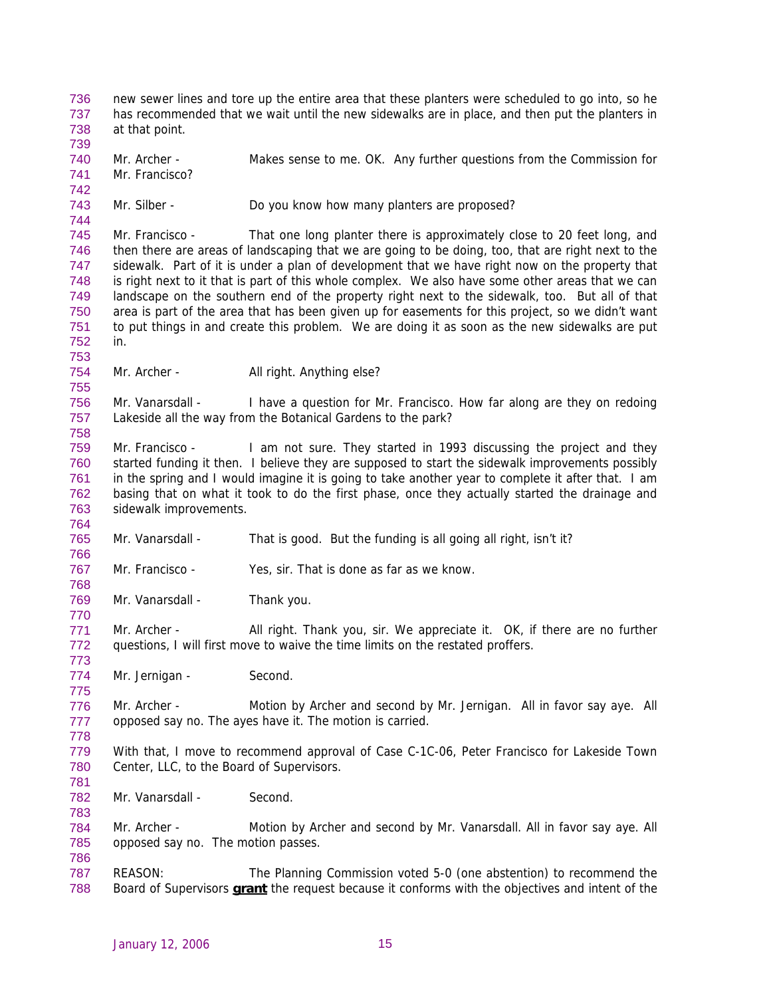new sewer lines and tore up the entire area that these planters were scheduled to go into, so he has recommended that we wait until the new sidewalks are in place, and then put the planters in at that point. 736 737 738

739 740 741 Mr. Archer - Makes sense to me. OK. Any further questions from the Commission for Mr. Francisco?

743 Mr. Silber - Do you know how many planters are proposed?

745 746 747 748 749 750 751 752 Mr. Francisco - That one long planter there is approximately close to 20 feet long, and then there are areas of landscaping that we are going to be doing, too, that are right next to the sidewalk. Part of it is under a plan of development that we have right now on the property that is right next to it that is part of this whole complex. We also have some other areas that we can landscape on the southern end of the property right next to the sidewalk, too. But all of that area is part of the area that has been given up for easements for this project, so we didn't want to put things in and create this problem. We are doing it as soon as the new sidewalks are put in.

754 Mr. Archer - All right. Anything else?

742

744

753

755

758

764

766

768

770

773

775

781

783

786

756 757 Mr. Vanarsdall - I have a question for Mr. Francisco. How far along are they on redoing Lakeside all the way from the Botanical Gardens to the park?

759 760 761 762 763 Mr. Francisco - I am not sure. They started in 1993 discussing the project and they started funding it then. I believe they are supposed to start the sidewalk improvements possibly in the spring and I would imagine it is going to take another year to complete it after that. I am basing that on what it took to do the first phase, once they actually started the drainage and sidewalk improvements.

765 Mr. Vanarsdall - That is good. But the funding is all going all right, isn't it?

767 Mr. Francisco - Yes, sir. That is done as far as we know.

769 Mr. Vanarsdall - Thank you.

771 772 Mr. Archer - All right. Thank you, sir. We appreciate it. OK, if there are no further questions, I will first move to waive the time limits on the restated proffers.

774 Mr. Jernigan - Second.

776 777 778 Mr. Archer - Motion by Archer and second by Mr. Jernigan. All in favor say aye. All opposed say no. The ayes have it. The motion is carried.

779 780 With that, I move to recommend approval of Case C-1C-06, Peter Francisco for Lakeside Town Center, LLC, to the Board of Supervisors.

782 Mr. Vanarsdall - Second.

784 785 Mr. Archer - Motion by Archer and second by Mr. Vanarsdall. All in favor say aye. All opposed say no. The motion passes.

787 REASON: The Planning Commission voted 5-0 (one abstention) to recommend the 788 Board of Supervisors **grant** the request because it conforms with the objectives and intent of the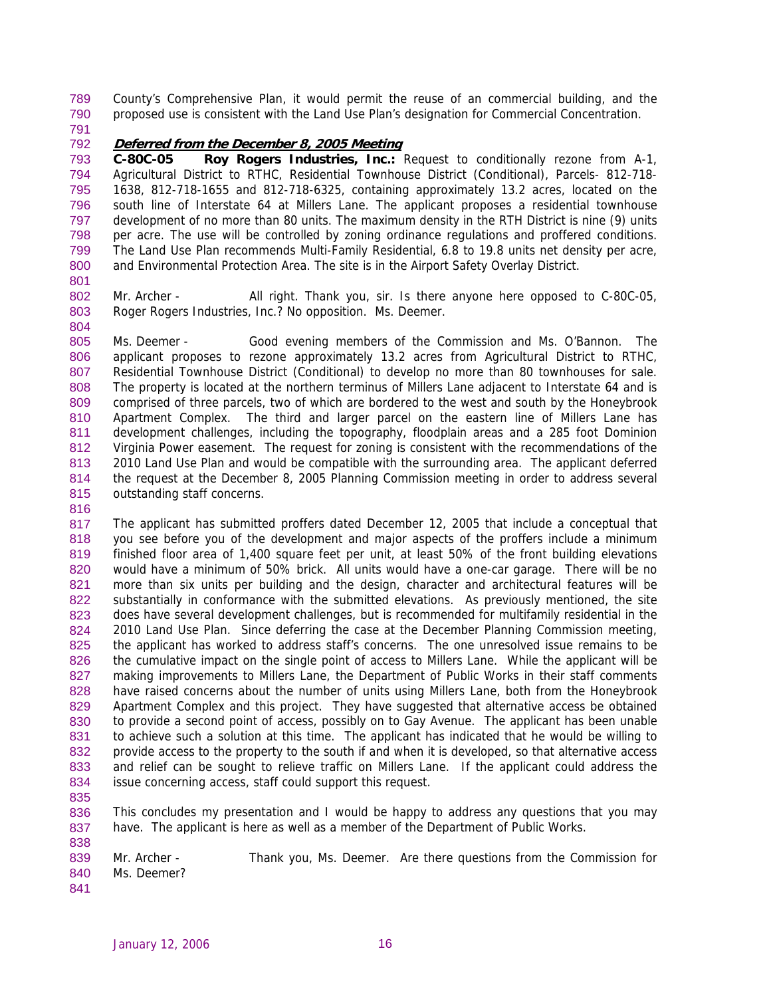County's Comprehensive Plan, it would permit the reuse of an commercial building, and the proposed use is consistent with the Land Use Plan's designation for Commercial Concentration. 789 790

791

## 792 **Deferred from the December 8, 2005 Meeting**

793 794 795 796 797 798 799 800 **C-80C-05 Roy Rogers Industries, Inc.:** Request to conditionally rezone from A-1, Agricultural District to RTHC, Residential Townhouse District (Conditional), Parcels- 812-718- 1638, 812-718-1655 and 812-718-6325, containing approximately 13.2 acres, located on the south line of Interstate 64 at Millers Lane. The applicant proposes a residential townhouse development of no more than 80 units. The maximum density in the RTH District is nine (9) units per acre. The use will be controlled by zoning ordinance regulations and proffered conditions. The Land Use Plan recommends Multi-Family Residential, 6.8 to 19.8 units net density per acre, and Environmental Protection Area. The site is in the Airport Safety Overlay District.

801

804

802 803 Mr. Archer - All right. Thank you, sir. Is there anyone here opposed to C-80C-05, Roger Rogers Industries, Inc.? No opposition. Ms. Deemer.

805 806 807 808 809 810 811 812 813 814 815 Ms. Deemer - Good evening members of the Commission and Ms. O'Bannon. The applicant proposes to rezone approximately 13.2 acres from Agricultural District to RTHC, Residential Townhouse District (Conditional) to develop no more than 80 townhouses for sale. The property is located at the northern terminus of Millers Lane adjacent to Interstate 64 and is comprised of three parcels, two of which are bordered to the west and south by the Honeybrook Apartment Complex. The third and larger parcel on the eastern line of Millers Lane has development challenges, including the topography, floodplain areas and a 285 foot Dominion Virginia Power easement. The request for zoning is consistent with the recommendations of the 2010 Land Use Plan and would be compatible with the surrounding area. The applicant deferred the request at the December 8, 2005 Planning Commission meeting in order to address several outstanding staff concerns.

816

817 818 819 820 821 822 823 824 825 826 827 828 829 830 831 832 833 834 The applicant has submitted proffers dated December 12, 2005 that include a conceptual that you see before you of the development and major aspects of the proffers include a minimum finished floor area of 1,400 square feet per unit, at least 50% of the front building elevations would have a minimum of 50% brick. All units would have a one-car garage. There will be no more than six units per building and the design, character and architectural features will be substantially in conformance with the submitted elevations. As previously mentioned, the site does have several development challenges, but is recommended for multifamily residential in the 2010 Land Use Plan. Since deferring the case at the December Planning Commission meeting, the applicant has worked to address staff's concerns. The one unresolved issue remains to be the cumulative impact on the single point of access to Millers Lane. While the applicant will be making improvements to Millers Lane, the Department of Public Works in their staff comments have raised concerns about the number of units using Millers Lane, both from the Honeybrook Apartment Complex and this project. They have suggested that alternative access be obtained to provide a second point of access, possibly on to Gay Avenue. The applicant has been unable to achieve such a solution at this time. The applicant has indicated that he would be willing to provide access to the property to the south if and when it is developed, so that alternative access and relief can be sought to relieve traffic on Millers Lane. If the applicant could address the issue concerning access, staff could support this request.

835

838

836 837 This concludes my presentation and I would be happy to address any questions that you may have. The applicant is here as well as a member of the Department of Public Works.

839 840 Mr. Archer - Thank you, Ms. Deemer. Are there questions from the Commission for Ms. Deemer?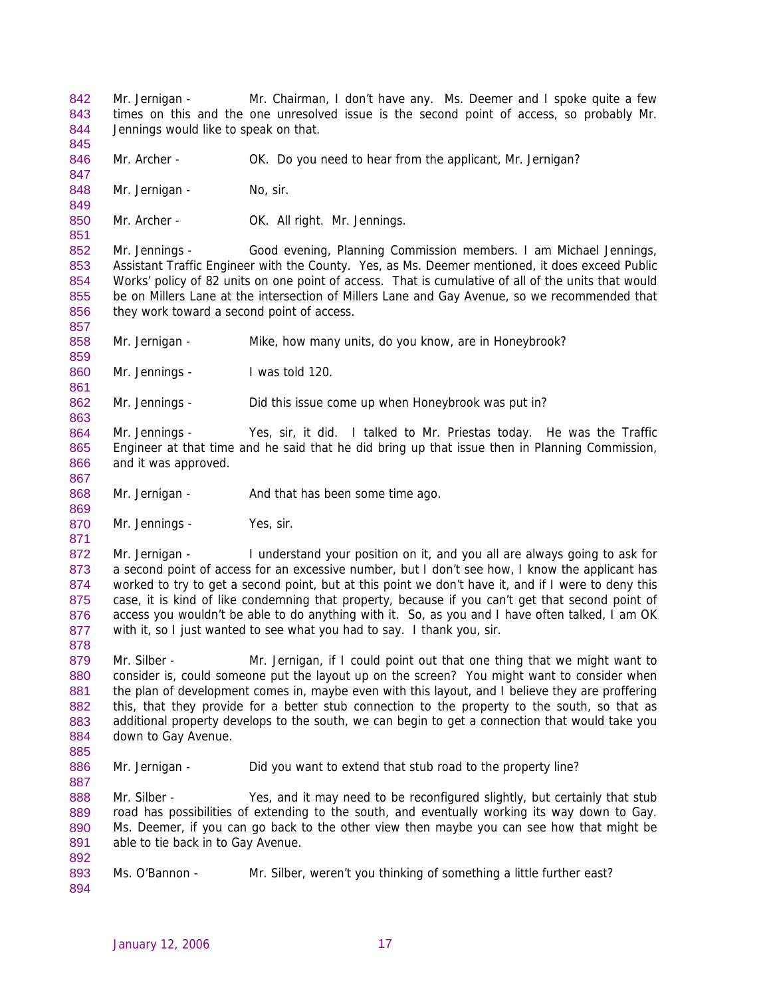Mr. Jernigan - Mr. Chairman, I don't have any. Ms. Deemer and I spoke quite a few times on this and the one unresolved issue is the second point of access, so probably Mr. Jennings would like to speak on that. 842 843 844 845

846 847 Mr. Archer - **OK.** Do you need to hear from the applicant, Mr. Jernigan?

848 Mr. Jernigan - No, sir.

849

851

857

859

861

867

869

871

878

885

887

850 Mr. Archer - **OK. All right. Mr. Jennings.** 

852 853 854 855 856 Mr. Jennings - Good evening, Planning Commission members. I am Michael Jennings, Assistant Traffic Engineer with the County. Yes, as Ms. Deemer mentioned, it does exceed Public Works' policy of 82 units on one point of access. That is cumulative of all of the units that would be on Millers Lane at the intersection of Millers Lane and Gay Avenue, so we recommended that they work toward a second point of access.

858 Mr. Jernigan - Mike, how many units, do you know, are in Honeybrook?

860 Mr. Jennings - I was told 120.

862 863 Mr. Jennings - Did this issue come up when Honeybrook was put in?

864 865 866 Mr. Jennings - Yes, sir, it did. I talked to Mr. Priestas today. He was the Traffic Engineer at that time and he said that he did bring up that issue then in Planning Commission, and it was approved.

868 Mr. Jernigan - And that has been some time ago.

870 Mr. Jennings - Yes, sir.

872 873 874 875 876 877 Mr. Jernigan - I understand your position on it, and you all are always going to ask for a second point of access for an excessive number, but I don't see how, I know the applicant has worked to try to get a second point, but at this point we don't have it, and if I were to deny this case, it is kind of like condemning that property, because if you can't get that second point of access you wouldn't be able to do anything with it. So, as you and I have often talked, I am OK with it, so I just wanted to see what you had to say. I thank you, sir.

879 880 881 882 883 884 Mr. Silber - Mr. Jernigan, if I could point out that one thing that we might want to consider is, could someone put the layout up on the screen? You might want to consider when the plan of development comes in, maybe even with this layout, and I believe they are proffering this, that they provide for a better stub connection to the property to the south, so that as additional property develops to the south, we can begin to get a connection that would take you down to Gay Avenue.

886 Mr. Jernigan - Did you want to extend that stub road to the property line?

888 889 890 891 Mr. Silber - Yes, and it may need to be reconfigured slightly, but certainly that stub road has possibilities of extending to the south, and eventually working its way down to Gay. Ms. Deemer, if you can go back to the other view then maybe you can see how that might be able to tie back in to Gay Avenue.

893 Ms. O'Bannon - Mr. Silber, weren't you thinking of something a little further east?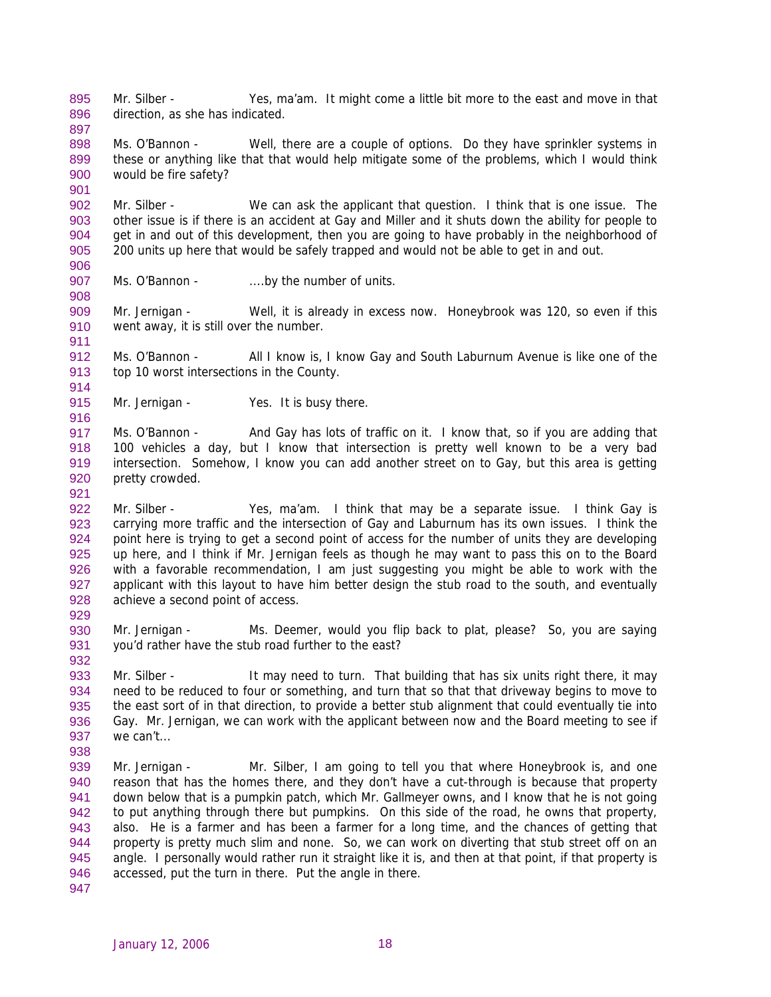Mr. Silber - Yes, ma'am. It might come a little bit more to the east and move in that direction, as she has indicated. 895 896

898 899 900 Ms. O'Bannon - Well, there are a couple of options. Do they have sprinkler systems in these or anything like that that would help mitigate some of the problems, which I would think would be fire safety?

902 903 904 905 906 Mr. Silber - We can ask the applicant that question. I think that is one issue. The other issue is if there is an accident at Gay and Miller and it shuts down the ability for people to get in and out of this development, then you are going to have probably in the neighborhood of 200 units up here that would be safely trapped and would not be able to get in and out.

907 Ms. O'Bannon - ....by the number of units.

909 910 Mr. Jernigan - Well, it is already in excess now. Honeybrook was 120, so even if this went away, it is still over the number.

912 913 Ms. O'Bannon - All I know is, I know Gay and South Laburnum Avenue is like one of the top 10 worst intersections in the County.

915 Mr. Jernigan - Yes. It is busy there.

917 918 919 920 Ms. O'Bannon - And Gay has lots of traffic on it. I know that, so if you are adding that 100 vehicles a day, but I know that intersection is pretty well known to be a very bad intersection. Somehow, I know you can add another street on to Gay, but this area is getting pretty crowded.

922 923 924 925 926 927 928 Mr. Silber - Yes, ma'am. I think that may be a separate issue. I think Gay is carrying more traffic and the intersection of Gay and Laburnum has its own issues. I think the point here is trying to get a second point of access for the number of units they are developing up here, and I think if Mr. Jernigan feels as though he may want to pass this on to the Board with a favorable recommendation, I am just suggesting you might be able to work with the applicant with this layout to have him better design the stub road to the south, and eventually achieve a second point of access.

930 931 Mr. Jernigan - Ms. Deemer, would you flip back to plat, please? So, you are saying you'd rather have the stub road further to the east?

933 934 935 936 937 Mr. Silber - It may need to turn. That building that has six units right there, it may need to be reduced to four or something, and turn that so that that driveway begins to move to the east sort of in that direction, to provide a better stub alignment that could eventually tie into Gay. Mr. Jernigan, we can work with the applicant between now and the Board meeting to see if we can't...

939 940 941 942 943 944 945 946 Mr. Jernigan - Mr. Silber, I am going to tell you that where Honeybrook is, and one reason that has the homes there, and they don't have a cut-through is because that property down below that is a pumpkin patch, which Mr. Gallmeyer owns, and I know that he is not going to put anything through there but pumpkins. On this side of the road, he owns that property, also. He is a farmer and has been a farmer for a long time, and the chances of getting that property is pretty much slim and none. So, we can work on diverting that stub street off on an angle. I personally would rather run it straight like it is, and then at that point, if that property is accessed, put the turn in there. Put the angle in there.

897

901

908

911

914

916

921

929

932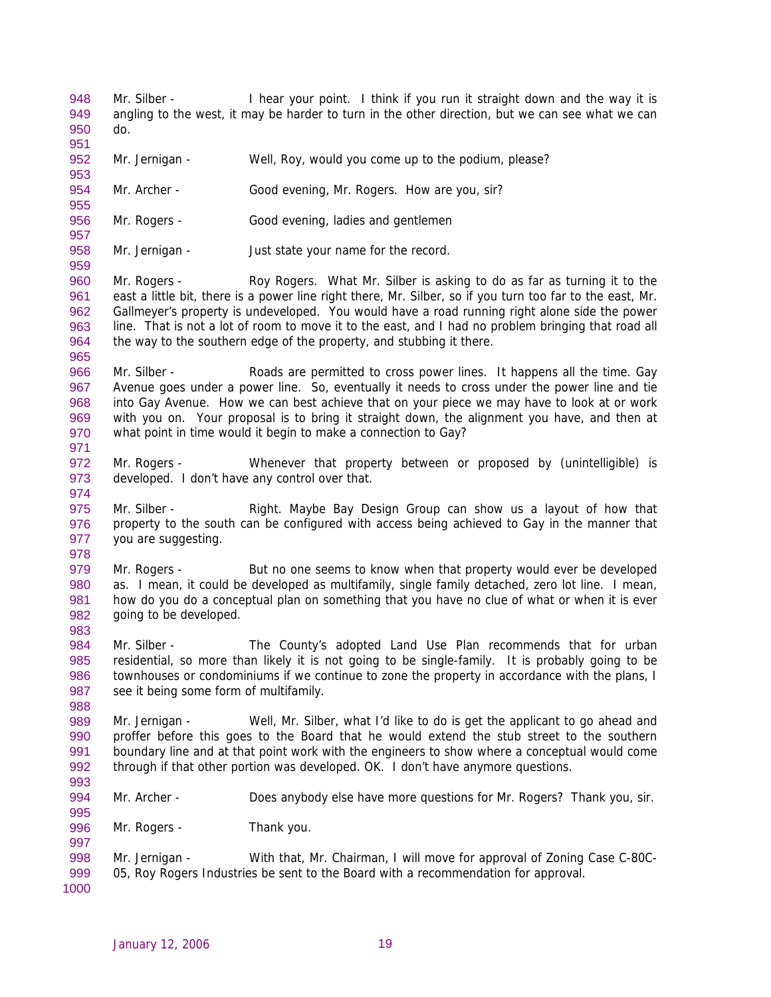Mr. Silber - I hear your point. I think if you run it straight down and the way it is angling to the west, it may be harder to turn in the other direction, but we can see what we can do. 948 949 950

951

953

955

959

965

971

974

952 Mr. Jernigan - Well, Roy, would you come up to the podium, please?

- 954 Mr. Archer - Good evening, Mr. Rogers. How are you, sir?
- 956 957 Mr. Rogers - Good evening, ladies and gentlemen
- 958 Mr. Jernigan - Just state your name for the record.

960 961 962 963 964 Mr. Rogers - Roy Rogers. What Mr. Silber is asking to do as far as turning it to the east a little bit, there is a power line right there, Mr. Silber, so if you turn too far to the east, Mr. Gallmeyer's property is undeveloped. You would have a road running right alone side the power line. That is not a lot of room to move it to the east, and I had no problem bringing that road all the way to the southern edge of the property, and stubbing it there.

966 967 968 969 970 Mr. Silber - Roads are permitted to cross power lines. It happens all the time. Gay Avenue goes under a power line. So, eventually it needs to cross under the power line and tie into Gay Avenue. How we can best achieve that on your piece we may have to look at or work with you on. Your proposal is to bring it straight down, the alignment you have, and then at what point in time would it begin to make a connection to Gay?

- 972 973 Mr. Rogers - Whenever that property between or proposed by (unintelligible) is developed. I don't have any control over that.
- 975 976 977 978 Mr. Silber - Right. Maybe Bay Design Group can show us a layout of how that property to the south can be configured with access being achieved to Gay in the manner that you are suggesting.
- 979 980 981 982 983 Mr. Rogers - But no one seems to know when that property would ever be developed as. I mean, it could be developed as multifamily, single family detached, zero lot line. I mean, how do you do a conceptual plan on something that you have no clue of what or when it is ever going to be developed.
- 984 985 986 987 Mr. Silber - The County's adopted Land Use Plan recommends that for urban residential, so more than likely it is not going to be single-family. It is probably going to be townhouses or condominiums if we continue to zone the property in accordance with the plans, I see it being some form of multifamily.
- 989 990 991 992 993 Mr. Jernigan - Well, Mr. Silber, what I'd like to do is get the applicant to go ahead and proffer before this goes to the Board that he would extend the stub street to the southern boundary line and at that point work with the engineers to show where a conceptual would come through if that other portion was developed. OK. I don't have anymore questions.
- 994 Mr. Archer - Does anybody else have more questions for Mr. Rogers? Thank you, sir.
- 996 Mr. Rogers - Thank you.
- 998 999 Mr. Jernigan - With that, Mr. Chairman, I will move for approval of Zoning Case C-80C-05, Roy Rogers Industries be sent to the Board with a recommendation for approval.
- 1000

995

997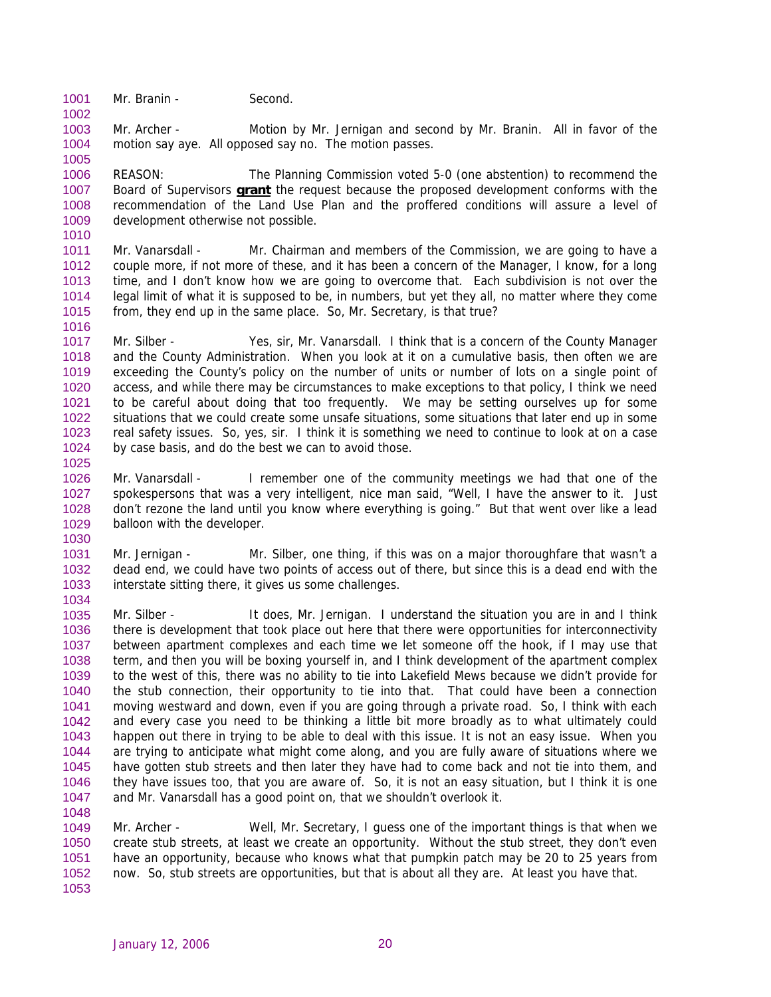1001 Mr. Branin - Second.

1002

1005

1016

1003 1004 Mr. Archer - Motion by Mr. Jernigan and second by Mr. Branin. All in favor of the motion say aye. All opposed say no. The motion passes.

1006 REASON: The Planning Commission voted 5-0 (one abstention) to recommend the Board of Supervisors **grant** the request because the proposed development conforms with the recommendation of the Land Use Plan and the proffered conditions will assure a level of development otherwise not possible. 1007 1008 1009 1010

1011 1012 1013 1014 1015 Mr. Vanarsdall - Mr. Chairman and members of the Commission, we are going to have a couple more, if not more of these, and it has been a concern of the Manager, I know, for a long time, and I don't know how we are going to overcome that. Each subdivision is not over the legal limit of what it is supposed to be, in numbers, but yet they all, no matter where they come from, they end up in the same place. So, Mr. Secretary, is that true?

1017 1018 1019 1020 1021 1022 1023 1024 1025 Mr. Silber - Yes, sir, Mr. Vanarsdall. I think that is a concern of the County Manager and the County Administration. When you look at it on a cumulative basis, then often we are exceeding the County's policy on the number of units or number of lots on a single point of access, and while there may be circumstances to make exceptions to that policy, I think we need to be careful about doing that too frequently. We may be setting ourselves up for some situations that we could create some unsafe situations, some situations that later end up in some real safety issues. So, yes, sir. I think it is something we need to continue to look at on a case by case basis, and do the best we can to avoid those.

1026 1027 1028 1029 1030 Mr. Vanarsdall - I remember one of the community meetings we had that one of the spokespersons that was a very intelligent, nice man said, "Well, I have the answer to it. Just don't rezone the land until you know where everything is going." But that went over like a lead balloon with the developer.

1031 1032 1033 1034 Mr. Jernigan - Mr. Silber, one thing, if this was on a major thoroughfare that wasn't a dead end, we could have two points of access out of there, but since this is a dead end with the interstate sitting there, it gives us some challenges.

1035 1036 1037 1038 1039 1040 1041 1042 1043 1044 1045 1046 1047 1048 Mr. Silber - It does, Mr. Jernigan. I understand the situation you are in and I think there is development that took place out here that there were opportunities for interconnectivity between apartment complexes and each time we let someone off the hook, if I may use that term, and then you will be boxing yourself in, and I think development of the apartment complex to the west of this, there was no ability to tie into Lakefield Mews because we didn't provide for the stub connection, their opportunity to tie into that. That could have been a connection moving westward and down, even if you are going through a private road. So, I think with each and every case you need to be thinking a little bit more broadly as to what ultimately could happen out there in trying to be able to deal with this issue. It is not an easy issue. When you are trying to anticipate what might come along, and you are fully aware of situations where we have gotten stub streets and then later they have had to come back and not tie into them, and they have issues too, that you are aware of. So, it is not an easy situation, but I think it is one and Mr. Vanarsdall has a good point on, that we shouldn't overlook it.

1049 1050 1051 1052 1053 Mr. Archer - Well, Mr. Secretary, I guess one of the important things is that when we create stub streets, at least we create an opportunity. Without the stub street, they don't even have an opportunity, because who knows what that pumpkin patch may be 20 to 25 years from now. So, stub streets are opportunities, but that is about all they are. At least you have that.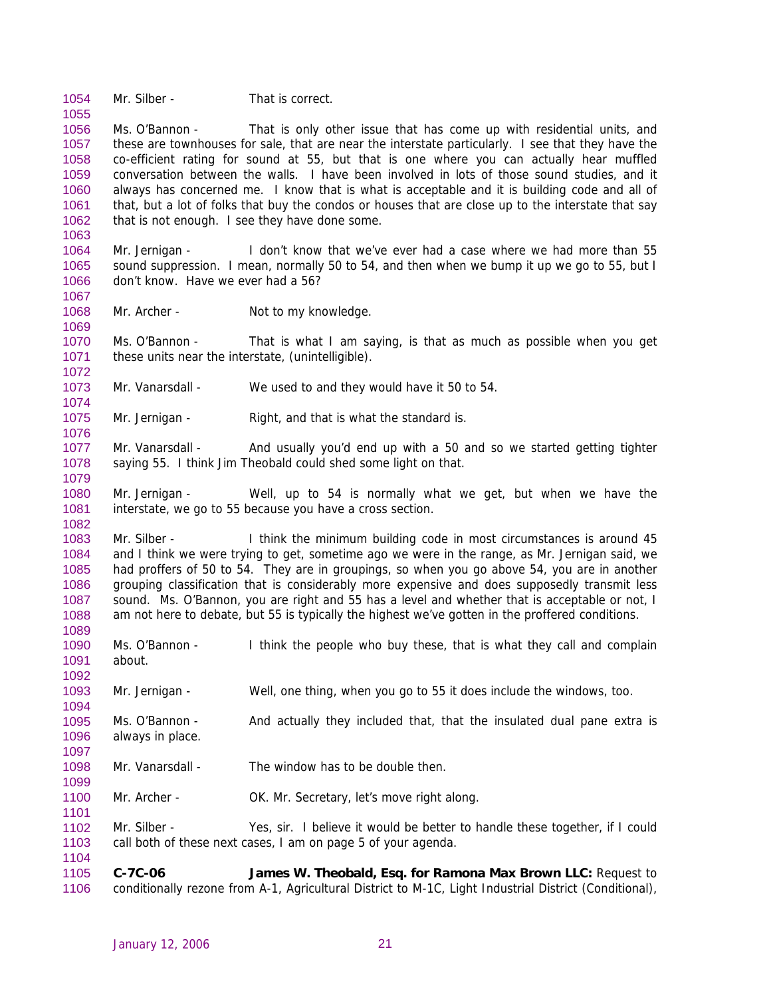1054 Mr. Silber - That is correct.

1055

1063

1067

1069

1072

1074

1076

1079

1082

1089

1092

1094

1101

1104

1056 1057 1058 1059 1060 1061 1062 Ms. O'Bannon - That is only other issue that has come up with residential units, and these are townhouses for sale, that are near the interstate particularly. I see that they have the co-efficient rating for sound at 55, but that is one where you can actually hear muffled conversation between the walls. I have been involved in lots of those sound studies, and it always has concerned me. I know that is what is acceptable and it is building code and all of that, but a lot of folks that buy the condos or houses that are close up to the interstate that say that is not enough. I see they have done some.

1064 1065 1066 Mr. Jernigan - I don't know that we've ever had a case where we had more than 55 sound suppression. I mean, normally 50 to 54, and then when we bump it up we go to 55, but I don't know. Have we ever had a 56?

1068 Mr. Archer - Not to my knowledge.

1070 1071 Ms. O'Bannon - That is what I am saying, is that as much as possible when you get these units near the interstate, (unintelligible).

- 1073 Mr. Vanarsdall - We used to and they would have it 50 to 54.
- 1075 Mr. Jernigan - Right, and that is what the standard is.

1077 1078 Mr. Vanarsdall - And usually you'd end up with a 50 and so we started getting tighter saying 55. I think Jim Theobald could shed some light on that.

1080 1081 Mr. Jernigan - Well, up to 54 is normally what we get, but when we have the interstate, we go to 55 because you have a cross section.

1083 1084 1085 1086 1087 1088 Mr. Silber - I think the minimum building code in most circumstances is around 45 and I think we were trying to get, sometime ago we were in the range, as Mr. Jernigan said, we had proffers of 50 to 54. They are in groupings, so when you go above 54, you are in another grouping classification that is considerably more expensive and does supposedly transmit less sound. Ms. O'Bannon, you are right and 55 has a level and whether that is acceptable or not, I am not here to debate, but 55 is typically the highest we've gotten in the proffered conditions.

1090 1091 Ms. O'Bannon - I think the people who buy these, that is what they call and complain about.

1093 Mr. Jernigan - Well, one thing, when you go to 55 it does include the windows, too.

- 1095 1096 1097 Ms. O'Bannon - And actually they included that, that the insulated dual pane extra is always in place.
- 1098 1099 Mr. Vanarsdall - The window has to be double then.
- 1100 Mr. Archer - **OK. Mr. Secretary, let's move right along.**

1102 1103 Mr. Silber - Yes, sir. I believe it would be better to handle these together, if I could call both of these next cases, I am on page 5 of your agenda.

1105 1106 **C-7C-06 James W. Theobald, Esq. for Ramona Max Brown LLC:** Request to conditionally rezone from A-1, Agricultural District to M-1C, Light Industrial District (Conditional),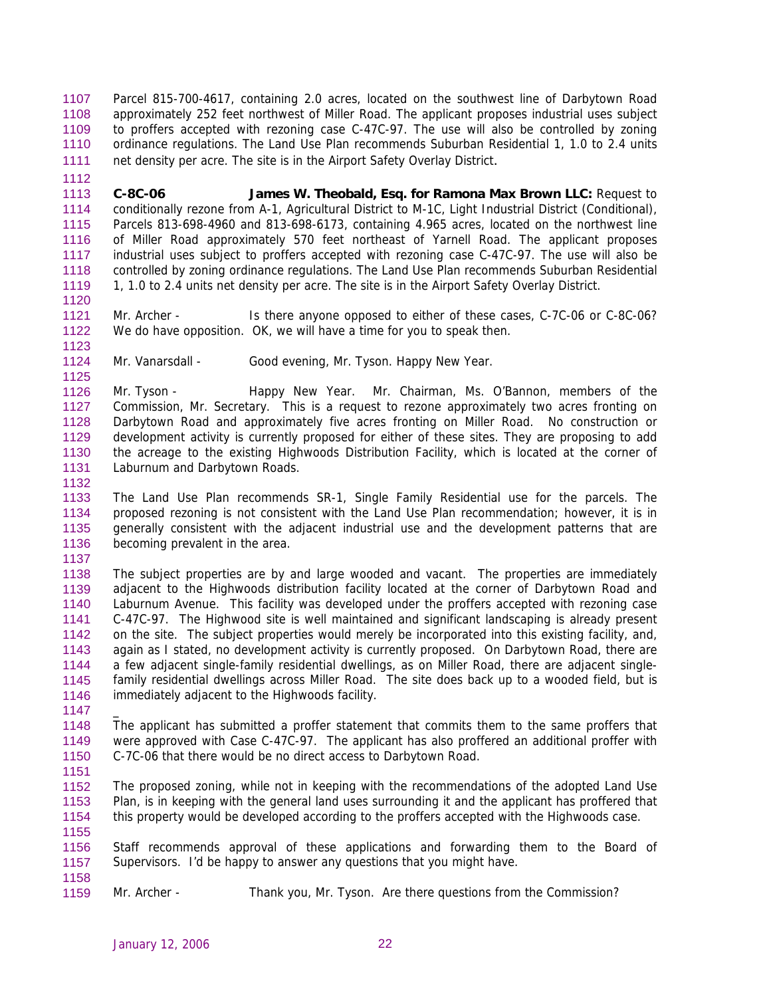Parcel 815-700-4617, containing 2.0 acres, located on the southwest line of Darbytown Road approximately 252 feet northwest of Miller Road. The applicant proposes industrial uses subject to proffers accepted with rezoning case C-47C-97. The use will also be controlled by zoning ordinance regulations. The Land Use Plan recommends Suburban Residential 1, 1.0 to 2.4 units net density per acre. The site is in the Airport Safety Overlay District. 1107 1108 1109 1110 1111

1113 1114 1115 1116 1117 1118 1119 **C-8C-06 James W. Theobald, Esq. for Ramona Max Brown LLC:** Request to conditionally rezone from A-1, Agricultural District to M-1C, Light Industrial District (Conditional), Parcels 813-698-4960 and 813-698-6173, containing 4.965 acres, located on the northwest line of Miller Road approximately 570 feet northeast of Yarnell Road. The applicant proposes industrial uses subject to proffers accepted with rezoning case C-47C-97. The use will also be controlled by zoning ordinance regulations. The Land Use Plan recommends Suburban Residential 1, 1.0 to 2.4 units net density per acre. The site is in the Airport Safety Overlay District.

1121 1122 Mr. Archer - Is there anyone opposed to either of these cases, C-7C-06 or C-8C-06? We do have opposition. OK, we will have a time for you to speak then.

1124 Mr. Vanarsdall - Good evening, Mr. Tyson. Happy New Year.

1126 1127 1128 1129 1130 1131 Mr. Tyson - Happy New Year. Mr. Chairman, Ms. O'Bannon, members of the Commission, Mr. Secretary. This is a request to rezone approximately two acres fronting on Darbytown Road and approximately five acres fronting on Miller Road. No construction or development activity is currently proposed for either of these sites. They are proposing to add the acreage to the existing Highwoods Distribution Facility, which is located at the corner of Laburnum and Darbytown Roads.

1133 1134 1135 1136 The Land Use Plan recommends SR-1, Single Family Residential use for the parcels. The proposed rezoning is not consistent with the Land Use Plan recommendation; however, it is in generally consistent with the adjacent industrial use and the development patterns that are becoming prevalent in the area.

1138 1139 1140 1141 1142 1143 1144 1145 1146 The subject properties are by and large wooded and vacant. The properties are immediately adjacent to the Highwoods distribution facility located at the corner of Darbytown Road and Laburnum Avenue. This facility was developed under the proffers accepted with rezoning case C-47C-97. The Highwood site is well maintained and significant landscaping is already present on the site. The subject properties would merely be incorporated into this existing facility, and, again as I stated, no development activity is currently proposed. On Darbytown Road, there are a few adjacent single-family residential dwellings, as on Miller Road, there are adjacent singlefamily residential dwellings across Miller Road. The site does back up to a wooded field, but is immediately adjacent to the Highwoods facility.

1147

 $\overline{a}$ 

1112

1120

1123

1125

1132

1137

1148 1149 1150 The applicant has submitted a proffer statement that commits them to the same proffers that were approved with Case C-47C-97. The applicant has also proffered an additional proffer with C-7C-06 that there would be no direct access to Darbytown Road.

1151

1155

1152 1153 1154 The proposed zoning, while not in keeping with the recommendations of the adopted Land Use Plan, is in keeping with the general land uses surrounding it and the applicant has proffered that this property would be developed according to the proffers accepted with the Highwoods case.

1156 1157 Staff recommends approval of these applications and forwarding them to the Board of Supervisors. I'd be happy to answer any questions that you might have.

1158 1159

Mr. Archer - Thank you, Mr. Tyson. Are there questions from the Commission?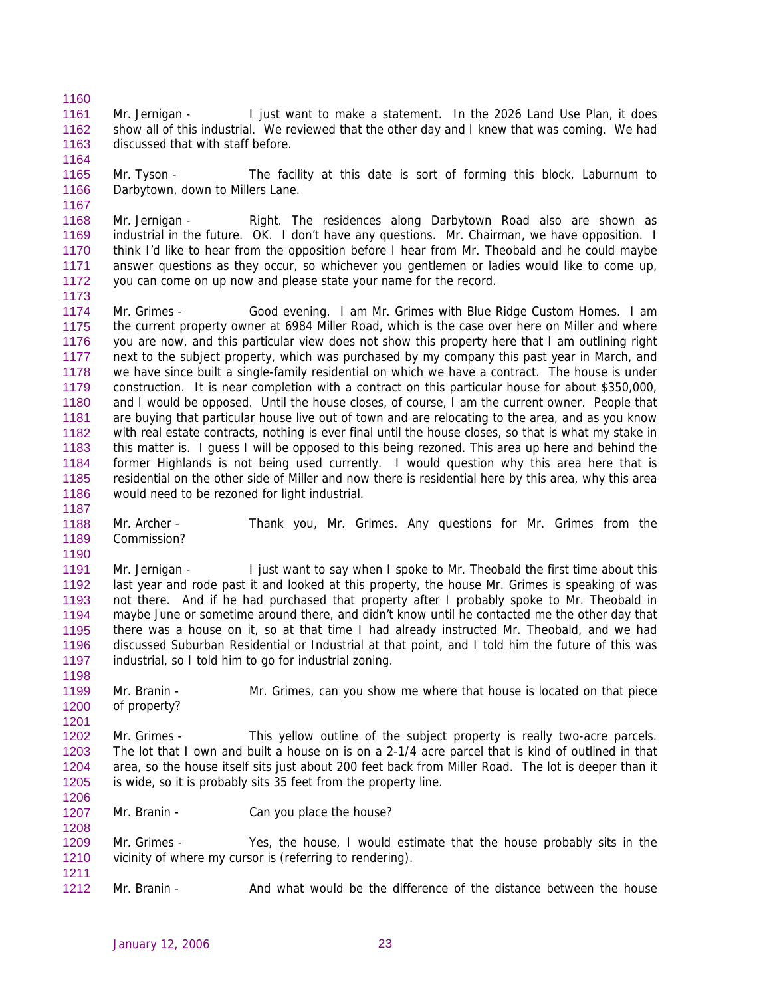1161 1162 1163 Mr. Jernigan - I just want to make a statement. In the 2026 Land Use Plan, it does show all of this industrial. We reviewed that the other day and I knew that was coming. We had discussed that with staff before.

1165 1166 Mr. Tyson - The facility at this date is sort of forming this block, Laburnum to Darbytown, down to Millers Lane.

1168 1169 1170 1171 1172 Mr. Jernigan - Right. The residences along Darbytown Road also are shown as industrial in the future. OK. I don't have any questions. Mr. Chairman, we have opposition. I think I'd like to hear from the opposition before I hear from Mr. Theobald and he could maybe answer questions as they occur, so whichever you gentlemen or ladies would like to come up, you can come on up now and please state your name for the record.

1174 1175 1176 1177 1178 1179 1180 1181 1182 1183 1184 1185 1186 Mr. Grimes - Good evening. I am Mr. Grimes with Blue Ridge Custom Homes. I am the current property owner at 6984 Miller Road, which is the case over here on Miller and where you are now, and this particular view does not show this property here that I am outlining right next to the subject property, which was purchased by my company this past year in March, and we have since built a single-family residential on which we have a contract. The house is under construction. It is near completion with a contract on this particular house for about \$350,000, and I would be opposed. Until the house closes, of course, I am the current owner. People that are buying that particular house live out of town and are relocating to the area, and as you know with real estate contracts, nothing is ever final until the house closes, so that is what my stake in this matter is. I guess I will be opposed to this being rezoned. This area up here and behind the former Highlands is not being used currently. I would question why this area here that is residential on the other side of Miller and now there is residential here by this area, why this area would need to be rezoned for light industrial.

1187

1190

1198

1201

1208

1211

1160

1164

1167

1173

1188 1189 Mr. Archer - Thank you, Mr. Grimes. Any questions for Mr. Grimes from the Commission?

1191 1192 1193 1194 1195 1196 1197 Mr. Jernigan - I just want to say when I spoke to Mr. Theobald the first time about this last year and rode past it and looked at this property, the house Mr. Grimes is speaking of was not there. And if he had purchased that property after I probably spoke to Mr. Theobald in maybe June or sometime around there, and didn't know until he contacted me the other day that there was a house on it, so at that time I had already instructed Mr. Theobald, and we had discussed Suburban Residential or Industrial at that point, and I told him the future of this was industrial, so I told him to go for industrial zoning.

1199 1200 Mr. Branin - Mr. Grimes, can you show me where that house is located on that piece of property?

1202 1203 1204 1205 1206 Mr. Grimes - This yellow outline of the subject property is really two-acre parcels. The lot that I own and built a house on is on a 2-1/4 acre parcel that is kind of outlined in that area, so the house itself sits just about 200 feet back from Miller Road. The lot is deeper than it is wide, so it is probably sits 35 feet from the property line.

1207 Mr. Branin - Can you place the house?

1209 1210 Mr. Grimes - Yes, the house, I would estimate that the house probably sits in the vicinity of where my cursor is (referring to rendering).

1212 Mr. Branin - And what would be the difference of the distance between the house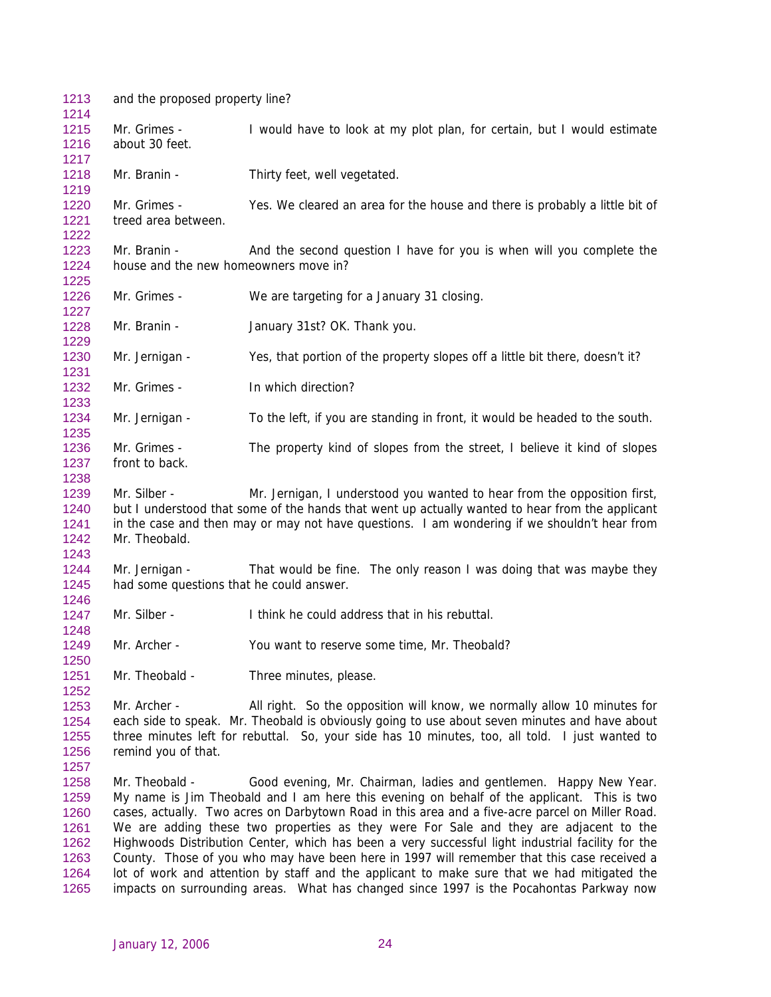1213 and the proposed property line? 1214 1215 1216 1217 1218 1219 1220 1221 1222 1223 1224 1225 1226 1227 1228 1229 1230 1231 1232 1233 1234 1235 1236 1237 1238 1239 1240 1241 1242 1243 1244 1245 1246 1247 1248 1249 1250 1251 1252 1253 1254 1255 1256 1257 1258 1259 1260 1261 1262 1263 1264 1265 Mr. Grimes - I would have to look at my plot plan, for certain, but I would estimate about 30 feet. Mr. Branin - Thirty feet, well vegetated. Mr. Grimes - Yes. We cleared an area for the house and there is probably a little bit of treed area between. Mr. Branin - And the second question I have for you is when will you complete the house and the new homeowners move in? Mr. Grimes - We are targeting for a January 31 closing. Mr. Branin - January 31st? OK. Thank you. Mr. Jernigan - Yes, that portion of the property slopes off a little bit there, doesn't it? Mr. Grimes - In which direction? Mr. Jernigan - To the left, if you are standing in front, it would be headed to the south. Mr. Grimes - The property kind of slopes from the street, I believe it kind of slopes front to back. Mr. Silber - Mr. Jernigan, I understood you wanted to hear from the opposition first, but I understood that some of the hands that went up actually wanted to hear from the applicant in the case and then may or may not have questions. I am wondering if we shouldn't hear from Mr. Theobald. Mr. Jernigan - That would be fine. The only reason I was doing that was maybe they had some questions that he could answer. Mr. Silber - I think he could address that in his rebuttal. Mr. Archer - You want to reserve some time, Mr. Theobald? Mr. Theobald - Three minutes, please. Mr. Archer - All right. So the opposition will know, we normally allow 10 minutes for each side to speak. Mr. Theobald is obviously going to use about seven minutes and have about three minutes left for rebuttal. So, your side has 10 minutes, too, all told. I just wanted to remind you of that. Mr. Theobald - Good evening, Mr. Chairman, ladies and gentlemen. Happy New Year. My name is Jim Theobald and I am here this evening on behalf of the applicant. This is two cases, actually. Two acres on Darbytown Road in this area and a five-acre parcel on Miller Road. We are adding these two properties as they were For Sale and they are adjacent to the Highwoods Distribution Center, which has been a very successful light industrial facility for the County. Those of you who may have been here in 1997 will remember that this case received a lot of work and attention by staff and the applicant to make sure that we had mitigated the impacts on surrounding areas. What has changed since 1997 is the Pocahontas Parkway now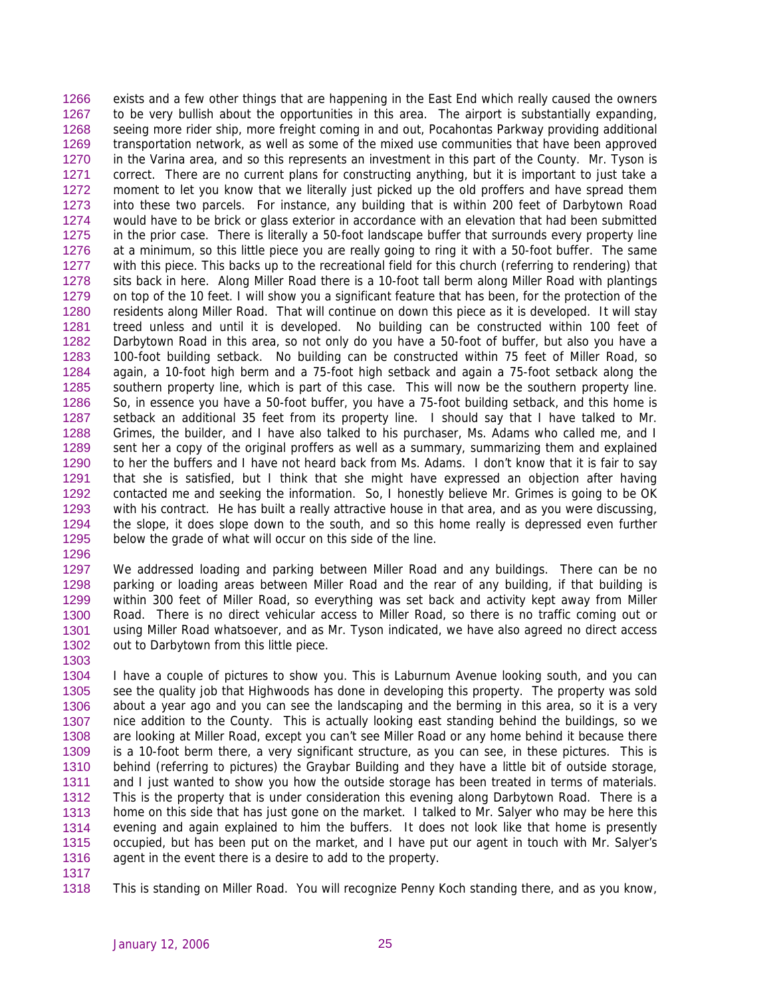exists and a few other things that are happening in the East End which really caused the owners to be very bullish about the opportunities in this area. The airport is substantially expanding, seeing more rider ship, more freight coming in and out, Pocahontas Parkway providing additional transportation network, as well as some of the mixed use communities that have been approved in the Varina area, and so this represents an investment in this part of the County. Mr. Tyson is correct. There are no current plans for constructing anything, but it is important to just take a moment to let you know that we literally just picked up the old proffers and have spread them into these two parcels. For instance, any building that is within 200 feet of Darbytown Road would have to be brick or glass exterior in accordance with an elevation that had been submitted in the prior case. There is literally a 50-foot landscape buffer that surrounds every property line at a minimum, so this little piece you are really going to ring it with a 50-foot buffer. The same with this piece. This backs up to the recreational field for this church (referring to rendering) that sits back in here. Along Miller Road there is a 10-foot tall berm along Miller Road with plantings on top of the 10 feet. I will show you a significant feature that has been, for the protection of the residents along Miller Road. That will continue on down this piece as it is developed. It will stay treed unless and until it is developed. No building can be constructed within 100 feet of Darbytown Road in this area, so not only do you have a 50-foot of buffer, but also you have a 100-foot building setback. No building can be constructed within 75 feet of Miller Road, so again, a 10-foot high berm and a 75-foot high setback and again a 75-foot setback along the southern property line, which is part of this case. This will now be the southern property line. So, in essence you have a 50-foot buffer, you have a 75-foot building setback, and this home is setback an additional 35 feet from its property line. I should say that I have talked to Mr. Grimes, the builder, and I have also talked to his purchaser, Ms. Adams who called me, and I sent her a copy of the original proffers as well as a summary, summarizing them and explained to her the buffers and I have not heard back from Ms. Adams. I don't know that it is fair to say that she is satisfied, but I think that she might have expressed an objection after having contacted me and seeking the information. So, I honestly believe Mr. Grimes is going to be OK with his contract. He has built a really attractive house in that area, and as you were discussing, the slope, it does slope down to the south, and so this home really is depressed even further below the grade of what will occur on this side of the line. 1266 1267 1268 1269 1270 1271 1272 1273 1274 1275 1276 1277 1278 1279 1280 1281 1282 1283 1284 1285 1286 1287 1288 1289 1290 1291 1292 1293 1294 1295 1296

1297 1298 1299 1300 1301 1302 We addressed loading and parking between Miller Road and any buildings. There can be no parking or loading areas between Miller Road and the rear of any building, if that building is within 300 feet of Miller Road, so everything was set back and activity kept away from Miller Road. There is no direct vehicular access to Miller Road, so there is no traffic coming out or using Miller Road whatsoever, and as Mr. Tyson indicated, we have also agreed no direct access out to Darbytown from this little piece.

1304 1305 1306 1307 1308 1309 1310 1311 1312 1313 1314 1315 1316 I have a couple of pictures to show you. This is Laburnum Avenue looking south, and you can see the quality job that Highwoods has done in developing this property. The property was sold about a year ago and you can see the landscaping and the berming in this area, so it is a very nice addition to the County. This is actually looking east standing behind the buildings, so we are looking at Miller Road, except you can't see Miller Road or any home behind it because there is a 10-foot berm there, a very significant structure, as you can see, in these pictures. This is behind (referring to pictures) the Graybar Building and they have a little bit of outside storage, and I just wanted to show you how the outside storage has been treated in terms of materials. This is the property that is under consideration this evening along Darbytown Road. There is a home on this side that has just gone on the market. I talked to Mr. Salyer who may be here this evening and again explained to him the buffers. It does not look like that home is presently occupied, but has been put on the market, and I have put our agent in touch with Mr. Salyer's agent in the event there is a desire to add to the property.

1317

1303

1318 This is standing on Miller Road. You will recognize Penny Koch standing there, and as you know,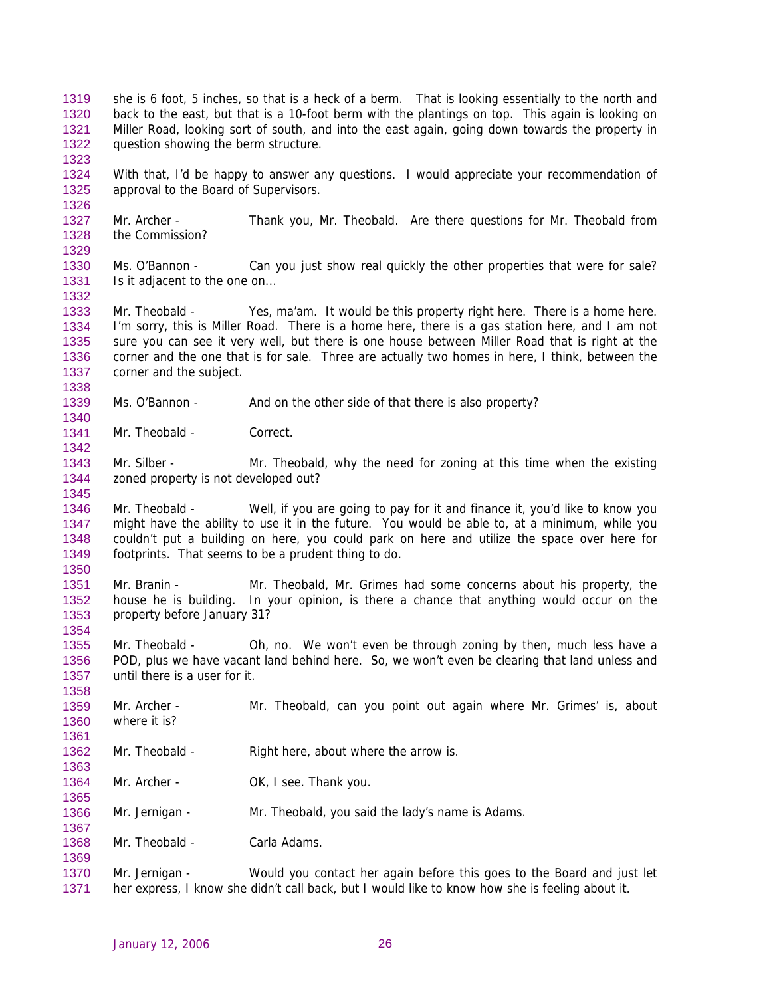- she is 6 foot, 5 inches, so that is a heck of a berm. That is looking essentially to the north and back to the east, but that is a 10-foot berm with the plantings on top. This again is looking on Miller Road, looking sort of south, and into the east again, going down towards the property in question showing the berm structure. 1319 1320 1321 1322
- 1324 1325 With that, I'd be happy to answer any questions. I would appreciate your recommendation of approval to the Board of Supervisors.
- 1327 1328 Mr. Archer - Thank you, Mr. Theobald. Are there questions for Mr. Theobald from the Commission?
- 1330 1331 Ms. O'Bannon - Can you just show real quickly the other properties that were for sale? Is it adjacent to the one on...
- 1333 1334 1335 1336 1337 1338 Mr. Theobald - Yes, ma'am. It would be this property right here. There is a home here. I'm sorry, this is Miller Road. There is a home here, there is a gas station here, and I am not sure you can see it very well, but there is one house between Miller Road that is right at the corner and the one that is for sale. Three are actually two homes in here, I think, between the corner and the subject.
- 1339 Ms. O'Bannon - And on the other side of that there is also property?
- 1341 Mr. Theobald - Correct.

1323

1326

1329

1332

1340

1342

1345

1350

1358

1361

1363

1365

1367

- 1343 1344 Mr. Silber - Mr. Theobald, why the need for zoning at this time when the existing zoned property is not developed out?
- 1346 1347 1348 1349 Mr. Theobald - Well, if you are going to pay for it and finance it, you'd like to know you might have the ability to use it in the future. You would be able to, at a minimum, while you couldn't put a building on here, you could park on here and utilize the space over here for footprints. That seems to be a prudent thing to do.
- 1351 1352 1353 1354 Mr. Branin - Mr. Theobald, Mr. Grimes had some concerns about his property, the house he is building. In your opinion, is there a chance that anything would occur on the property before January 31?
- 1355 1356 1357 Mr. Theobald - Oh, no. We won't even be through zoning by then, much less have a POD, plus we have vacant land behind here. So, we won't even be clearing that land unless and until there is a user for it.
- 1359 1360 Mr. Archer - Mr. Theobald, can you point out again where Mr. Grimes' is, about where it is?
- 1362 Mr. Theobald - Right here, about where the arrow is.
- 1364 Mr. Archer - OK, I see. Thank you.
- 1366 Mr. Jernigan - Mr. Theobald, you said the lady's name is Adams.
- 1368 Mr. Theobald - Carla Adams.
- 1370 1371 Mr. Jernigan - Would you contact her again before this goes to the Board and just let her express, I know she didn't call back, but I would like to know how she is feeling about it.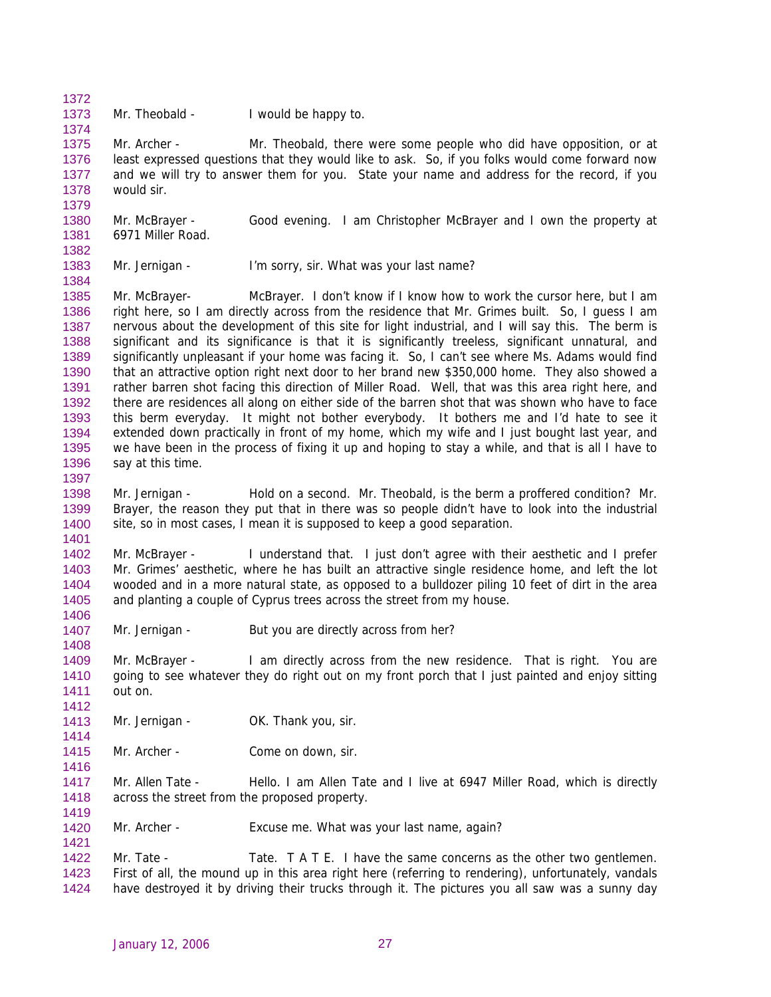1373 Mr. Theobald - I would be happy to.

1372

1374

1379

1382

1384

1397

1401

1406

1408

1412

1416

1419

1421

1375 1376 1377 1378 Mr. Archer - Mr. Theobald, there were some people who did have opposition, or at least expressed questions that they would like to ask. So, if you folks would come forward now and we will try to answer them for you. State your name and address for the record, if you would sir.

1380 1381 Mr. McBrayer - Good evening. I am Christopher McBrayer and I own the property at 6971 Miller Road.

1383 Mr. Jernigan - I'm sorry, sir. What was your last name?

1385 1386 1387 1388 1389 1390 1391 1392 1393 1394 1395 1396 Mr. McBrayer- McBrayer. I don't know if I know how to work the cursor here, but I am right here, so I am directly across from the residence that Mr. Grimes built. So, I guess I am nervous about the development of this site for light industrial, and I will say this. The berm is significant and its significance is that it is significantly treeless, significant unnatural, and significantly unpleasant if your home was facing it. So, I can't see where Ms. Adams would find that an attractive option right next door to her brand new \$350,000 home. They also showed a rather barren shot facing this direction of Miller Road. Well, that was this area right here, and there are residences all along on either side of the barren shot that was shown who have to face this berm everyday. It might not bother everybody. It bothers me and I'd hate to see it extended down practically in front of my home, which my wife and I just bought last year, and we have been in the process of fixing it up and hoping to stay a while, and that is all I have to say at this time.

1398 1399 1400 Mr. Jernigan - Hold on a second. Mr. Theobald, is the berm a proffered condition? Mr. Brayer, the reason they put that in there was so people didn't have to look into the industrial site, so in most cases, I mean it is supposed to keep a good separation.

1402 1403 1404 1405 Mr. McBrayer - I understand that. I just don't agree with their aesthetic and I prefer Mr. Grimes' aesthetic, where he has built an attractive single residence home, and left the lot wooded and in a more natural state, as opposed to a bulldozer piling 10 feet of dirt in the area and planting a couple of Cyprus trees across the street from my house.

1407 Mr. Jernigan - But you are directly across from her?

1409 1410 1411 Mr. McBrayer - I am directly across from the new residence. That is right. You are going to see whatever they do right out on my front porch that I just painted and enjoy sitting out on.

- 1413 1414 Mr. Jernigan - **OK. Thank you, sir.**
- 1415 Mr. Archer - Come on down, sir.

1417 1418 Mr. Allen Tate - Hello. I am Allen Tate and I live at 6947 Miller Road, which is directly across the street from the proposed property.

1420 Mr. Archer - Excuse me. What was your last name, again?

1422 1423 1424 Mr. Tate - Tate. T A T E. I have the same concerns as the other two gentlemen. First of all, the mound up in this area right here (referring to rendering), unfortunately, vandals have destroyed it by driving their trucks through it. The pictures you all saw was a sunny day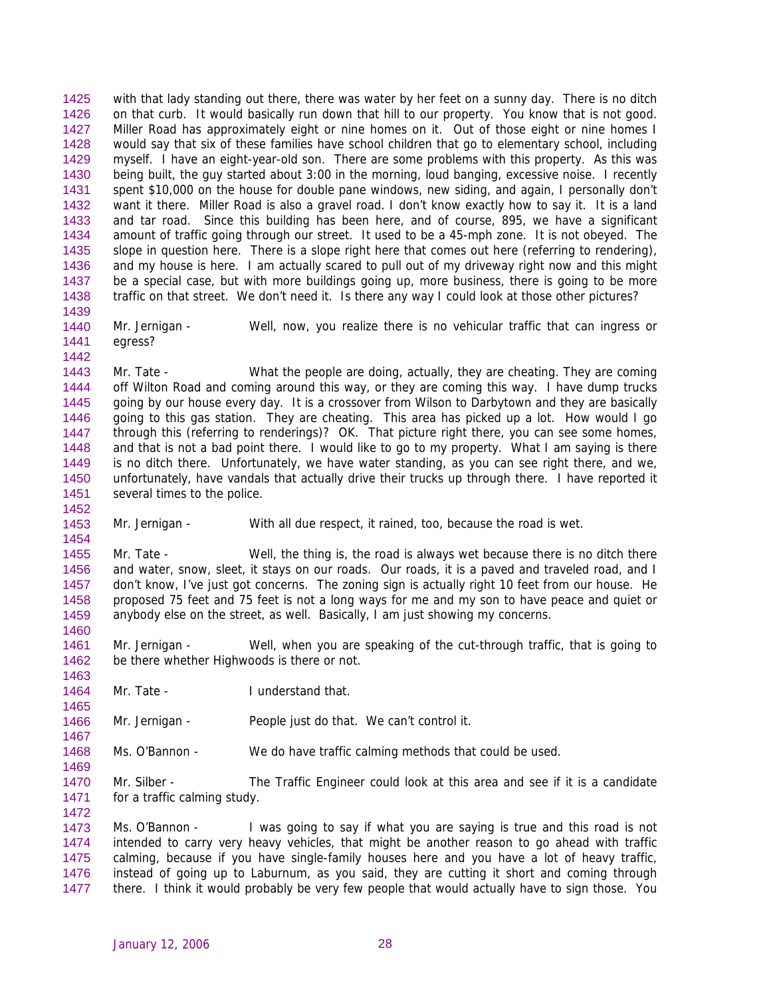with that lady standing out there, there was water by her feet on a sunny day. There is no ditch on that curb. It would basically run down that hill to our property. You know that is not good. Miller Road has approximately eight or nine homes on it. Out of those eight or nine homes I would say that six of these families have school children that go to elementary school, including myself. I have an eight-year-old son. There are some problems with this property. As this was being built, the guy started about 3:00 in the morning, loud banging, excessive noise. I recently spent \$10,000 on the house for double pane windows, new siding, and again, I personally don't want it there. Miller Road is also a gravel road. I don't know exactly how to say it. It is a land and tar road. Since this building has been here, and of course, 895, we have a significant amount of traffic going through our street. It used to be a 45-mph zone. It is not obeyed. The slope in question here. There is a slope right here that comes out here (referring to rendering), and my house is here. I am actually scared to pull out of my driveway right now and this might be a special case, but with more buildings going up, more business, there is going to be more traffic on that street. We don't need it. Is there any way I could look at those other pictures? 1425 1426 1427 1428 1429 1430 1431 1432 1433 1434 1435 1436 1437 1438 1439

1440 1441 Mr. Jernigan - Well, now, you realize there is no vehicular traffic that can ingress or egress?

1443 1444 1445 1446 1447 1448 1449 1450 1451 Mr. Tate - What the people are doing, actually, they are cheating. They are coming off Wilton Road and coming around this way, or they are coming this way. I have dump trucks going by our house every day. It is a crossover from Wilson to Darbytown and they are basically going to this gas station. They are cheating. This area has picked up a lot. How would I go through this (referring to renderings)? OK. That picture right there, you can see some homes, and that is not a bad point there. I would like to go to my property. What I am saying is there is no ditch there. Unfortunately, we have water standing, as you can see right there, and we, unfortunately, have vandals that actually drive their trucks up through there. I have reported it several times to the police.

1452

1454

1460

1463

1465

1467

1469

1442

1453 Mr. Jernigan - With all due respect, it rained, too, because the road is wet.

1455 1456 1457 1458 1459 Mr. Tate - Well, the thing is, the road is always wet because there is no ditch there and water, snow, sleet, it stays on our roads. Our roads, it is a paved and traveled road, and I don't know, I've just got concerns. The zoning sign is actually right 10 feet from our house. He proposed 75 feet and 75 feet is not a long ways for me and my son to have peace and quiet or anybody else on the street, as well. Basically, I am just showing my concerns.

1461 1462 Mr. Jernigan - Well, when you are speaking of the cut-through traffic, that is going to be there whether Highwoods is there or not.

1464 Mr. Tate - **I** understand that.

1466 Mr. Jernigan - People just do that. We can't control it.

1468 Ms. O'Bannon - We do have traffic calming methods that could be used.

1470 1471 1472 Mr. Silber - The Traffic Engineer could look at this area and see if it is a candidate for a traffic calming study.

1473 1474 1475 1476 1477 Ms. O'Bannon - I was going to say if what you are saying is true and this road is not intended to carry very heavy vehicles, that might be another reason to go ahead with traffic calming, because if you have single-family houses here and you have a lot of heavy traffic, instead of going up to Laburnum, as you said, they are cutting it short and coming through there. I think it would probably be very few people that would actually have to sign those. You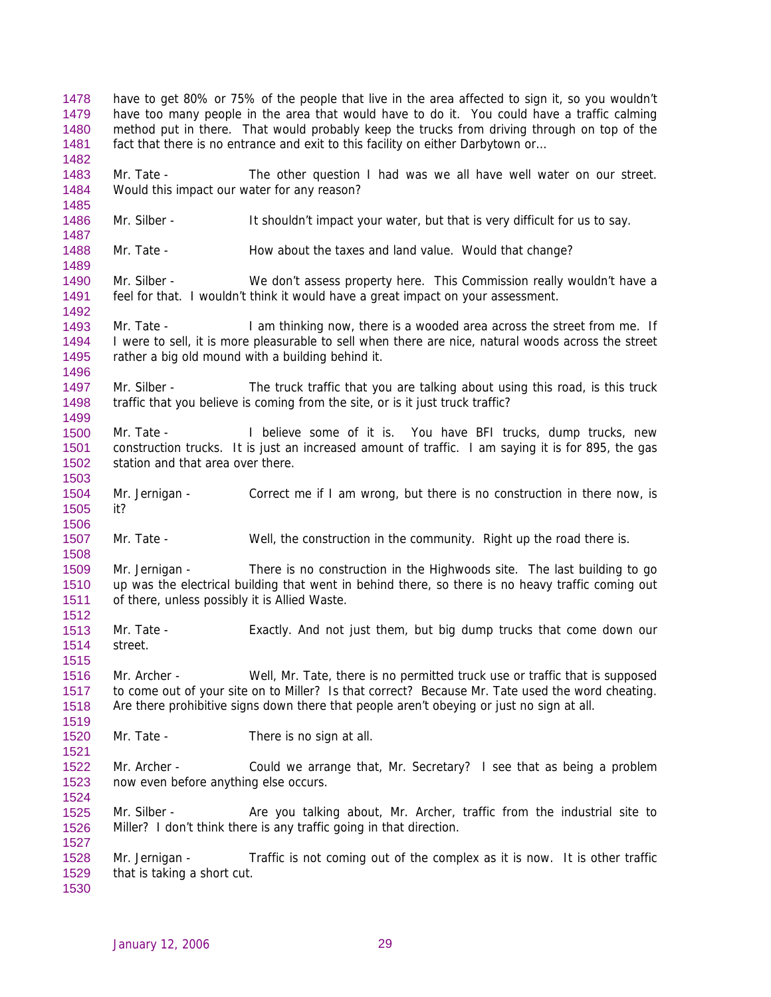have to get 80% or 75% of the people that live in the area affected to sign it, so you wouldn't have too many people in the area that would have to do it. You could have a traffic calming method put in there. That would probably keep the trucks from driving through on top of the fact that there is no entrance and exit to this facility on either Darbytown or... 1478 1479 1480 1481 1482 1483 1484 1485 1486 1487 1488 1489 1490 1491 1492 1493 1494 1495 1496 1497 1498 1499 1500 1501 1502 1503 1504 1505 1506 1507 1508 1509 1510 1511 1512 1513 1514 1515 1516 1517 1518 1519 1520 1521 1522 1523 1524 1525 1526 1527 1528 1529 1530 Mr. Tate - The other question I had was we all have well water on our street. Would this impact our water for any reason? Mr. Silber - It shouldn't impact your water, but that is very difficult for us to say. Mr. Tate - How about the taxes and land value. Would that change? Mr. Silber - We don't assess property here. This Commission really wouldn't have a feel for that. I wouldn't think it would have a great impact on your assessment. Mr. Tate - I am thinking now, there is a wooded area across the street from me. If I were to sell, it is more pleasurable to sell when there are nice, natural woods across the street rather a big old mound with a building behind it. Mr. Silber - The truck traffic that you are talking about using this road, is this truck traffic that you believe is coming from the site, or is it just truck traffic? Mr. Tate - I believe some of it is. You have BFI trucks, dump trucks, new construction trucks. It is just an increased amount of traffic. I am saying it is for 895, the gas station and that area over there. Mr. Jernigan - Correct me if I am wrong, but there is no construction in there now, is it? Mr. Tate - Well, the construction in the community. Right up the road there is. Mr. Jernigan - There is no construction in the Highwoods site. The last building to go up was the electrical building that went in behind there, so there is no heavy traffic coming out of there, unless possibly it is Allied Waste. Mr. Tate - Exactly. And not just them, but big dump trucks that come down our street. Mr. Archer - Well, Mr. Tate, there is no permitted truck use or traffic that is supposed to come out of your site on to Miller? Is that correct? Because Mr. Tate used the word cheating. Are there prohibitive signs down there that people aren't obeying or just no sign at all. Mr. Tate - There is no sign at all. Mr. Archer - Could we arrange that, Mr. Secretary? I see that as being a problem now even before anything else occurs. Mr. Silber - Are you talking about, Mr. Archer, traffic from the industrial site to Miller? I don't think there is any traffic going in that direction. Mr. Jernigan - Traffic is not coming out of the complex as it is now. It is other traffic that is taking a short cut.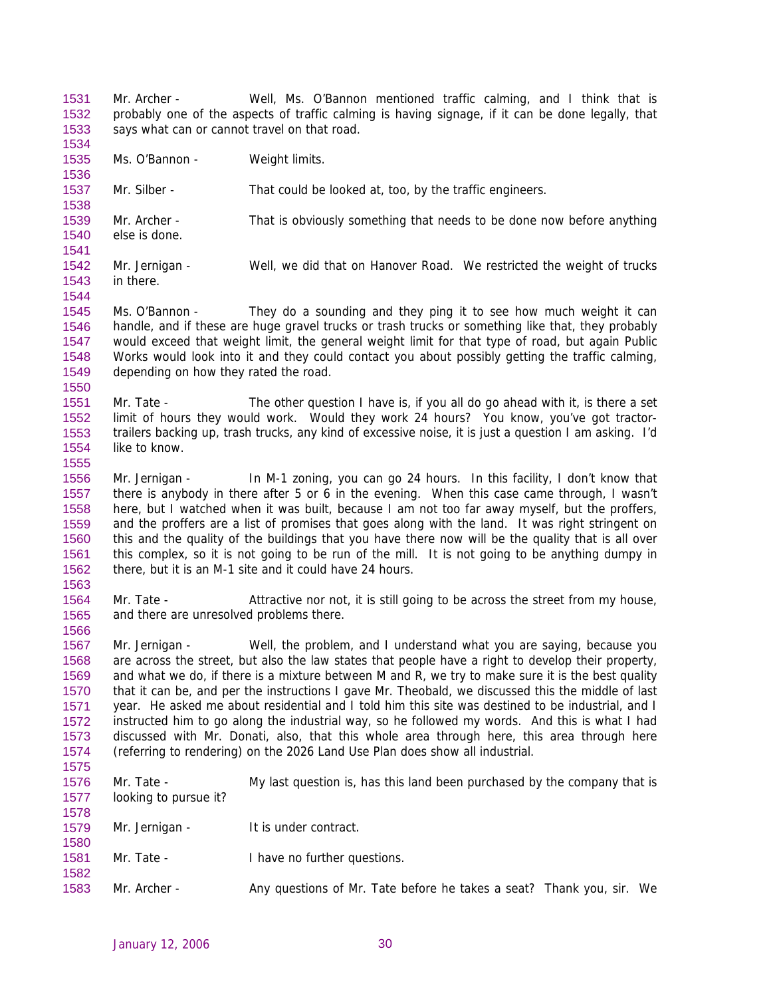Mr. Archer - Well, Ms. O'Bannon mentioned traffic calming, and I think that is probably one of the aspects of traffic calming is having signage, if it can be done legally, that says what can or cannot travel on that road. 1531 1532 1533 1534

1535 Ms. O'Bannon - Weight limits.

1538

1541

1544

1550

1555

1563

1575

1578

1536 1537 Mr. Silber - That could be looked at, too, by the traffic engineers.

1539 1540 Mr. Archer - That is obviously something that needs to be done now before anything else is done.

- 1542 1543 Mr. Jernigan - Well, we did that on Hanover Road. We restricted the weight of trucks in there.
- 1545 1546 1547 1548 1549 Ms. O'Bannon - They do a sounding and they ping it to see how much weight it can handle, and if these are huge gravel trucks or trash trucks or something like that, they probably would exceed that weight limit, the general weight limit for that type of road, but again Public Works would look into it and they could contact you about possibly getting the traffic calming, depending on how they rated the road.
- 1551 1552 1553 1554 Mr. Tate - The other question I have is, if you all do go ahead with it, is there a set limit of hours they would work. Would they work 24 hours? You know, you've got tractortrailers backing up, trash trucks, any kind of excessive noise, it is just a question I am asking. I'd like to know.
- 1556 1557 1558 1559 1560 1561 1562 Mr. Jernigan - In M-1 zoning, you can go 24 hours. In this facility, I don't know that there is anybody in there after 5 or 6 in the evening. When this case came through, I wasn't here, but I watched when it was built, because I am not too far away myself, but the proffers, and the proffers are a list of promises that goes along with the land. It was right stringent on this and the quality of the buildings that you have there now will be the quality that is all over this complex, so it is not going to be run of the mill. It is not going to be anything dumpy in there, but it is an M-1 site and it could have 24 hours.
- 1564 1565 1566 Mr. Tate - Attractive nor not, it is still going to be across the street from my house, and there are unresolved problems there.
- 1567 1568 1569 1570 1571 1572 1573 1574 Mr. Jernigan - Well, the problem, and I understand what you are saying, because you are across the street, but also the law states that people have a right to develop their property, and what we do, if there is a mixture between M and R, we try to make sure it is the best quality that it can be, and per the instructions I gave Mr. Theobald, we discussed this the middle of last year. He asked me about residential and I told him this site was destined to be industrial, and I instructed him to go along the industrial way, so he followed my words. And this is what I had discussed with Mr. Donati, also, that this whole area through here, this area through here (referring to rendering) on the 2026 Land Use Plan does show all industrial.
- 1576 1577 Mr. Tate - My last question is, has this land been purchased by the company that is looking to pursue it?

| 1579 | Mr. Jernigan - | It is under contract. |  |
|------|----------------|-----------------------|--|
| 1580 |                |                       |  |

- 1581 Mr. Tate - I have no further questions.
- 1582 1583 Mr. Archer - Any questions of Mr. Tate before he takes a seat? Thank you, sir. We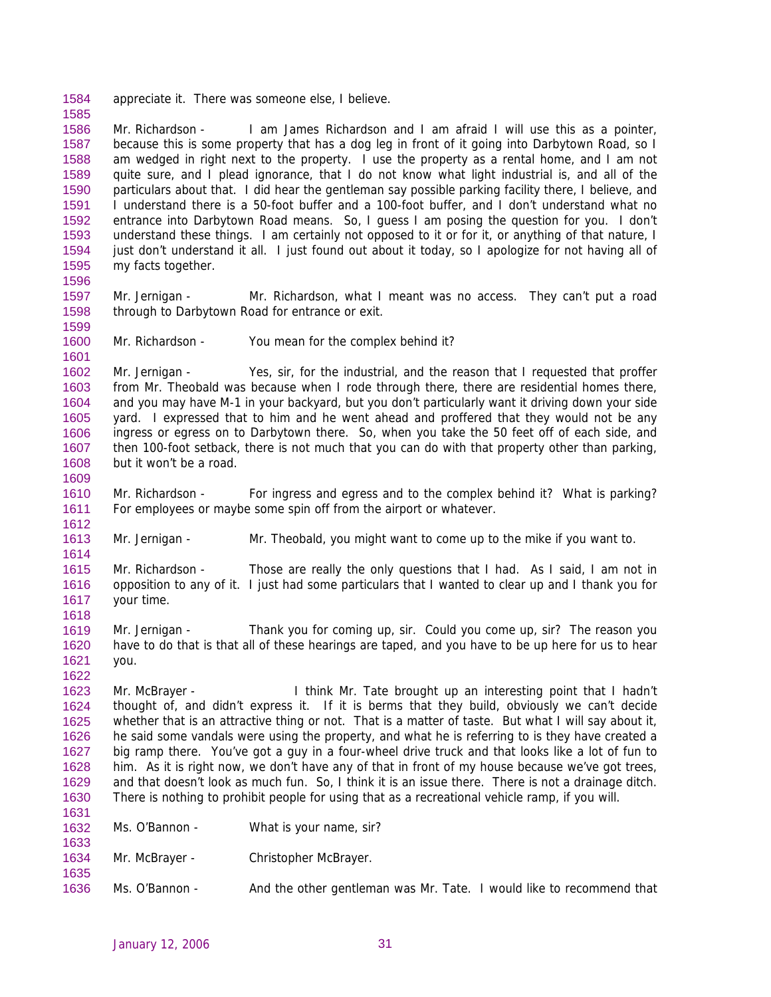1584 appreciate it. There was someone else, I believe.

1586 1587 1588 1589 1590 1591 1592 1593 1594 1595 Mr. Richardson - I am James Richardson and I am afraid I will use this as a pointer, because this is some property that has a dog leg in front of it going into Darbytown Road, so I am wedged in right next to the property. I use the property as a rental home, and I am not quite sure, and I plead ignorance, that I do not know what light industrial is, and all of the particulars about that. I did hear the gentleman say possible parking facility there, I believe, and I understand there is a 50-foot buffer and a 100-foot buffer, and I don't understand what no entrance into Darbytown Road means. So, I guess I am posing the question for you. I don't understand these things. I am certainly not opposed to it or for it, or anything of that nature, I just don't understand it all. I just found out about it today, so I apologize for not having all of my facts together.

- 1597 1598 Mr. Jernigan - Mr. Richardson, what I meant was no access. They can't put a road through to Darbytown Road for entrance or exit.
- 1599 1600 1601

1612

1614

1622

1596

1585

Mr. Richardson - You mean for the complex behind it?

1602 1603 1604 1605 1606 1607 1608 1609 Mr. Jernigan - Yes, sir, for the industrial, and the reason that I requested that proffer from Mr. Theobald was because when I rode through there, there are residential homes there, and you may have M-1 in your backyard, but you don't particularly want it driving down your side yard. I expressed that to him and he went ahead and proffered that they would not be any ingress or egress on to Darbytown there. So, when you take the 50 feet off of each side, and then 100-foot setback, there is not much that you can do with that property other than parking, but it won't be a road.

1610 1611 Mr. Richardson - For ingress and egress and to the complex behind it? What is parking? For employees or maybe some spin off from the airport or whatever.

1613 Mr. Jernigan - Mr. Theobald, you might want to come up to the mike if you want to.

1615 1616 1617 1618 Mr. Richardson - Those are really the only questions that I had. As I said, I am not in opposition to any of it. I just had some particulars that I wanted to clear up and I thank you for your time.

1619 1620 1621 Mr. Jernigan - Thank you for coming up, sir. Could you come up, sir? The reason you have to do that is that all of these hearings are taped, and you have to be up here for us to hear you.

1623 1624 1625 1626 1627 1628 1629 1630 Mr. McBrayer - I think Mr. Tate brought up an interesting point that I hadn't thought of, and didn't express it. If it is berms that they build, obviously we can't decide whether that is an attractive thing or not. That is a matter of taste. But what I will say about it, he said some vandals were using the property, and what he is referring to is they have created a big ramp there. You've got a guy in a four-wheel drive truck and that looks like a lot of fun to him. As it is right now, we don't have any of that in front of my house because we've got trees, and that doesn't look as much fun. So, I think it is an issue there. There is not a drainage ditch. There is nothing to prohibit people for using that as a recreational vehicle ramp, if you will.

| 1631 |                |                                                                      |
|------|----------------|----------------------------------------------------------------------|
| 1632 | Ms. O'Bannon - | What is your name, sir?                                              |
| 1633 |                |                                                                      |
| 1634 | Mr. McBrayer - | Christopher McBrayer.                                                |
| 1635 |                |                                                                      |
| 1636 | Ms. O'Bannon - | And the other gentleman was Mr. Tate. I would like to recommend that |
|      |                |                                                                      |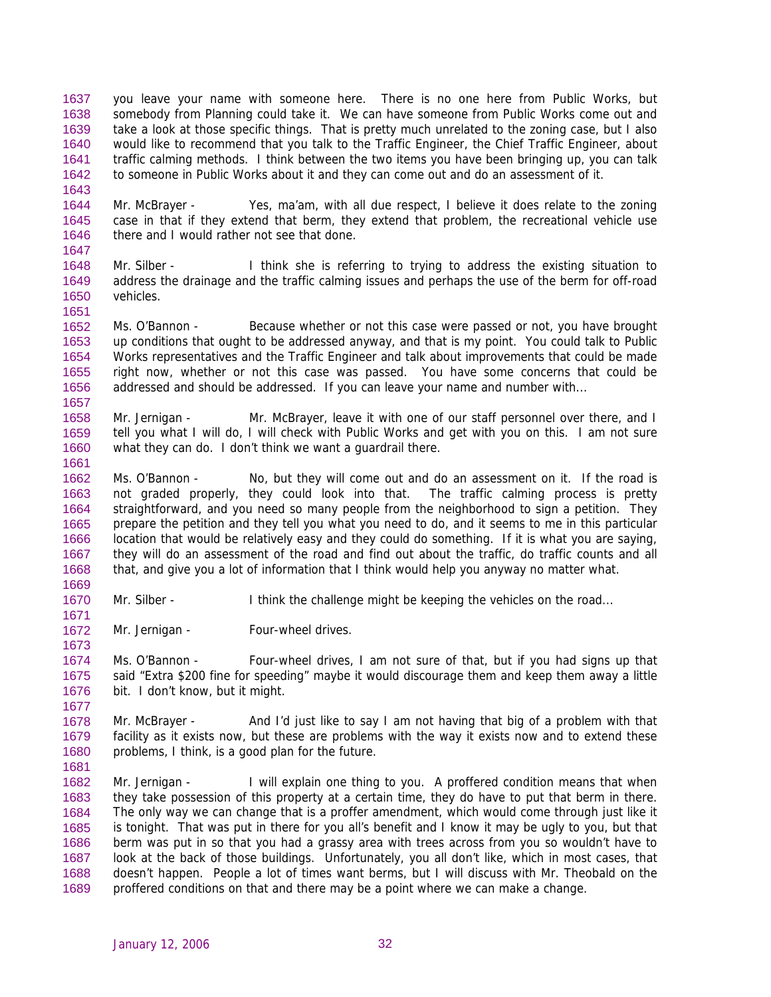you leave your name with someone here. There is no one here from Public Works, but somebody from Planning could take it. We can have someone from Public Works come out and take a look at those specific things. That is pretty much unrelated to the zoning case, but I also would like to recommend that you talk to the Traffic Engineer, the Chief Traffic Engineer, about traffic calming methods. I think between the two items you have been bringing up, you can talk to someone in Public Works about it and they can come out and do an assessment of it. 1637 1638 1639 1640 1641 1642

1644 1645 1646 1647 Mr. McBrayer - Yes, ma'am, with all due respect, I believe it does relate to the zoning case in that if they extend that berm, they extend that problem, the recreational vehicle use there and I would rather not see that done.

1648 1649 1650 Mr. Silber - I think she is referring to trying to address the existing situation to address the drainage and the traffic calming issues and perhaps the use of the berm for off-road vehicles.

1651

1661

1669

1671

1673

1677

1643

1652 1653 1654 1655 1656 1657 Ms. O'Bannon - Because whether or not this case were passed or not, you have brought up conditions that ought to be addressed anyway, and that is my point. You could talk to Public Works representatives and the Traffic Engineer and talk about improvements that could be made right now, whether or not this case was passed. You have some concerns that could be addressed and should be addressed. If you can leave your name and number with...

1658 1659 1660 Mr. Jernigan - Mr. McBrayer, leave it with one of our staff personnel over there, and I tell you what I will do, I will check with Public Works and get with you on this. I am not sure what they can do. I don't think we want a guardrail there.

1662 1663 1664 1665 1666 1667 1668 Ms. O'Bannon - No, but they will come out and do an assessment on it. If the road is not graded properly, they could look into that. The traffic calming process is pretty straightforward, and you need so many people from the neighborhood to sign a petition. They prepare the petition and they tell you what you need to do, and it seems to me in this particular location that would be relatively easy and they could do something. If it is what you are saying, they will do an assessment of the road and find out about the traffic, do traffic counts and all that, and give you a lot of information that I think would help you anyway no matter what.

1670 Mr. Silber - I think the challenge might be keeping the vehicles on the road...

1672 Mr. Jernigan - Four-wheel drives.

1674 1675 1676 Ms. O'Bannon - Four-wheel drives, I am not sure of that, but if you had signs up that said "Extra \$200 fine for speeding" maybe it would discourage them and keep them away a little bit. I don't know, but it might.

1678 1679 1680 1681 Mr. McBrayer - And I'd just like to say I am not having that big of a problem with that facility as it exists now, but these are problems with the way it exists now and to extend these problems, I think, is a good plan for the future.

1682 1683 1684 1685 1686 1687 1688 1689 Mr. Jernigan - I will explain one thing to you. A proffered condition means that when they take possession of this property at a certain time, they do have to put that berm in there. The only way we can change that is a proffer amendment, which would come through just like it is tonight. That was put in there for you all's benefit and I know it may be ugly to you, but that berm was put in so that you had a grassy area with trees across from you so wouldn't have to look at the back of those buildings. Unfortunately, you all don't like, which in most cases, that doesn't happen. People a lot of times want berms, but I will discuss with Mr. Theobald on the proffered conditions on that and there may be a point where we can make a change.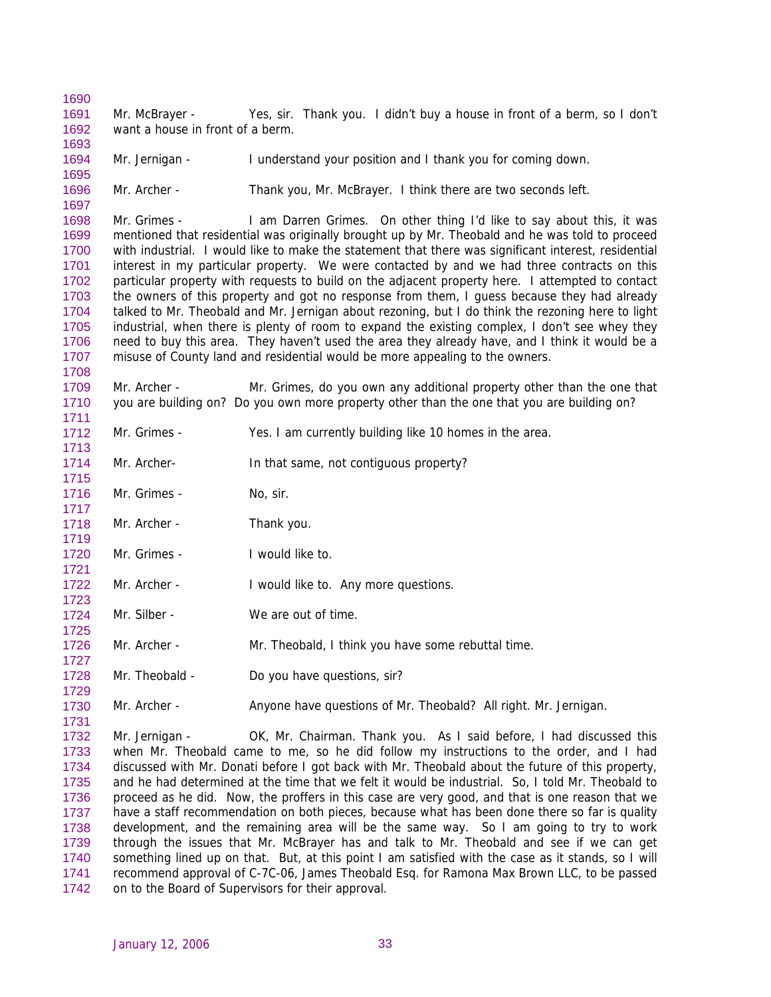1691 1692 Mr. McBrayer - Yes, sir. Thank you. I didn't buy a house in front of a berm, so I don't want a house in front of a berm.

1694 Mr. Jernigan - I understand your position and I thank you for coming down.

1696 Mr. Archer - Thank you, Mr. McBrayer. I think there are two seconds left.

1698 1699 1700 1701 1702 1703 1704 1705 1706 1707 Mr. Grimes - I am Darren Grimes. On other thing I'd like to say about this, it was mentioned that residential was originally brought up by Mr. Theobald and he was told to proceed with industrial. I would like to make the statement that there was significant interest, residential interest in my particular property. We were contacted by and we had three contracts on this particular property with requests to build on the adjacent property here. I attempted to contact the owners of this property and got no response from them, I guess because they had already talked to Mr. Theobald and Mr. Jernigan about rezoning, but I do think the rezoning here to light industrial, when there is plenty of room to expand the existing complex, I don't see whey they need to buy this area. They haven't used the area they already have, and I think it would be a misuse of County land and residential would be more appealing to the owners.

1709 1710 1711 Mr. Archer - Mr. Grimes, do you own any additional property other than the one that you are building on? Do you own more property other than the one that you are building on?

- 1712 Mr. Grimes - Yes. I am currently building like 10 homes in the area.
- 1714 1715 Mr. Archer- In that same, not contiguous property?
- 1716 Mr. Grimes - No, sir.

1690

1693

1695

1697

1708

1713

1717

1721

1723

1725

1727

1729

1731

- 1718 1719 Mr. Archer - Thank you.
- 1720 Mr. Grimes - I would like to.
- 1722 Mr. Archer - I would like to. Any more questions.
- 1724 Mr. Silber - We are out of time.
- 1726 Mr. Archer - Mr. Theobald, I think you have some rebuttal time.
- 1728 Mr. Theobald - Do you have questions, sir?
- 1730 Mr. Archer - Anyone have questions of Mr. Theobald? All right. Mr. Jernigan.

1732 1733 1734 1735 1736 1737 1738 1739 1740 1741 1742 Mr. Jernigan - OK, Mr. Chairman. Thank you. As I said before, I had discussed this when Mr. Theobald came to me, so he did follow my instructions to the order, and I had discussed with Mr. Donati before I got back with Mr. Theobald about the future of this property, and he had determined at the time that we felt it would be industrial. So, I told Mr. Theobald to proceed as he did. Now, the proffers in this case are very good, and that is one reason that we have a staff recommendation on both pieces, because what has been done there so far is quality development, and the remaining area will be the same way. So I am going to try to work through the issues that Mr. McBrayer has and talk to Mr. Theobald and see if we can get something lined up on that. But, at this point I am satisfied with the case as it stands, so I will recommend approval of C-7C-06, James Theobald Esq. for Ramona Max Brown LLC, to be passed on to the Board of Supervisors for their approval.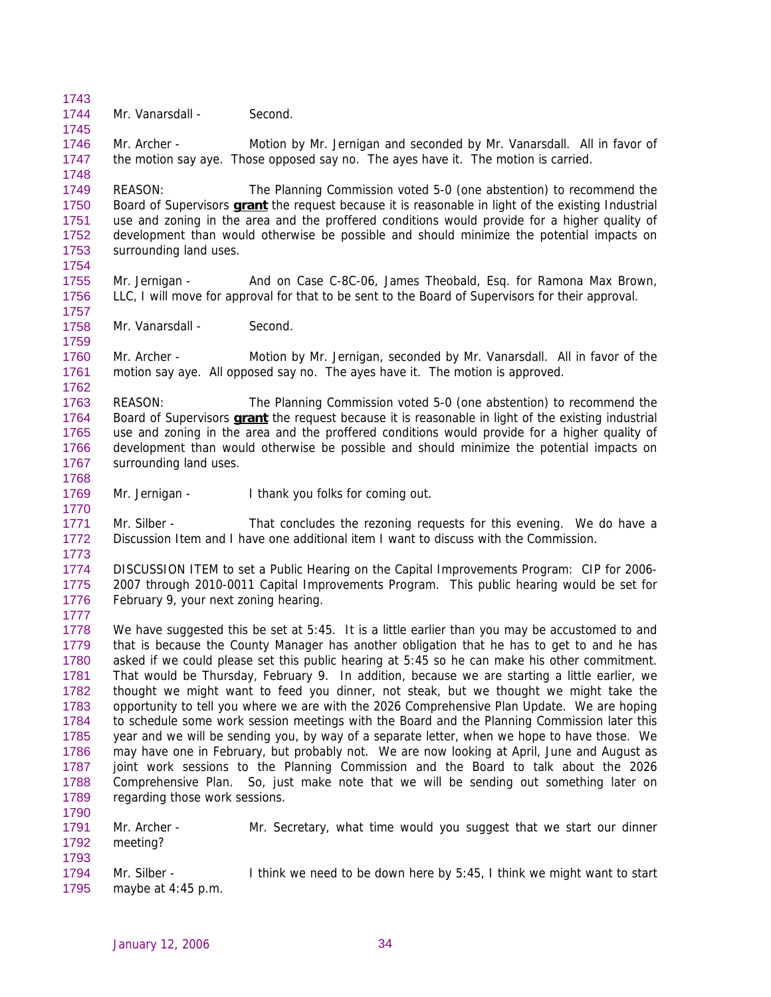1744 Mr. Vanarsdall - Second.

1743

1745

1757

1759

1770

1777

1793

1746 1747 1748 Mr. Archer - Motion by Mr. Jernigan and seconded by Mr. Vanarsdall. All in favor of the motion say aye. Those opposed say no. The ayes have it. The motion is carried.

1749 REASON: The Planning Commission voted 5-0 (one abstention) to recommend the Board of Supervisors **grant** the request because it is reasonable in light of the existing Industrial use and zoning in the area and the proffered conditions would provide for a higher quality of development than would otherwise be possible and should minimize the potential impacts on surrounding land uses. 1750 1751 1752 1753 1754

- 1755 1756 Mr. Jernigan - And on Case C-8C-06, James Theobald, Esq. for Ramona Max Brown, LLC, I will move for approval for that to be sent to the Board of Supervisors for their approval.
- 1758 Mr. Vanarsdall - Second.

1760 1761 1762 Mr. Archer - Motion by Mr. Jernigan, seconded by Mr. Vanarsdall. All in favor of the motion say aye. All opposed say no. The ayes have it. The motion is approved.

1763 REASON: The Planning Commission voted 5-0 (one abstention) to recommend the Board of Supervisors **grant** the request because it is reasonable in light of the existing industrial use and zoning in the area and the proffered conditions would provide for a higher quality of development than would otherwise be possible and should minimize the potential impacts on surrounding land uses. 1764 1765 1766 1767 1768

1769 Mr. Jernigan - I thank you folks for coming out.

1771 1772 1773 Mr. Silber - That concludes the rezoning requests for this evening. We do have a Discussion Item and I have one additional item I want to discuss with the Commission.

1774 1775 1776 DISCUSSION ITEM to set a Public Hearing on the Capital Improvements Program: CIP for 2006- 2007 through 2010-0011 Capital Improvements Program. This public hearing would be set for February 9, your next zoning hearing.

1778 1779 1780 1781 1782 1783 1784 1785 1786 1787 1788 1789 1790 We have suggested this be set at 5:45. It is a little earlier than you may be accustomed to and that is because the County Manager has another obligation that he has to get to and he has asked if we could please set this public hearing at 5:45 so he can make his other commitment. That would be Thursday, February 9. In addition, because we are starting a little earlier, we thought we might want to feed you dinner, not steak, but we thought we might take the opportunity to tell you where we are with the 2026 Comprehensive Plan Update. We are hoping to schedule some work session meetings with the Board and the Planning Commission later this year and we will be sending you, by way of a separate letter, when we hope to have those. We may have one in February, but probably not. We are now looking at April, June and August as joint work sessions to the Planning Commission and the Board to talk about the 2026 Comprehensive Plan. So, just make note that we will be sending out something later on regarding those work sessions.

1791 1792 Mr. Archer - Mr. Secretary, what time would you suggest that we start our dinner meeting?

1794 1795 Mr. Silber - I think we need to be down here by 5:45, I think we might want to start maybe at 4:45 p.m.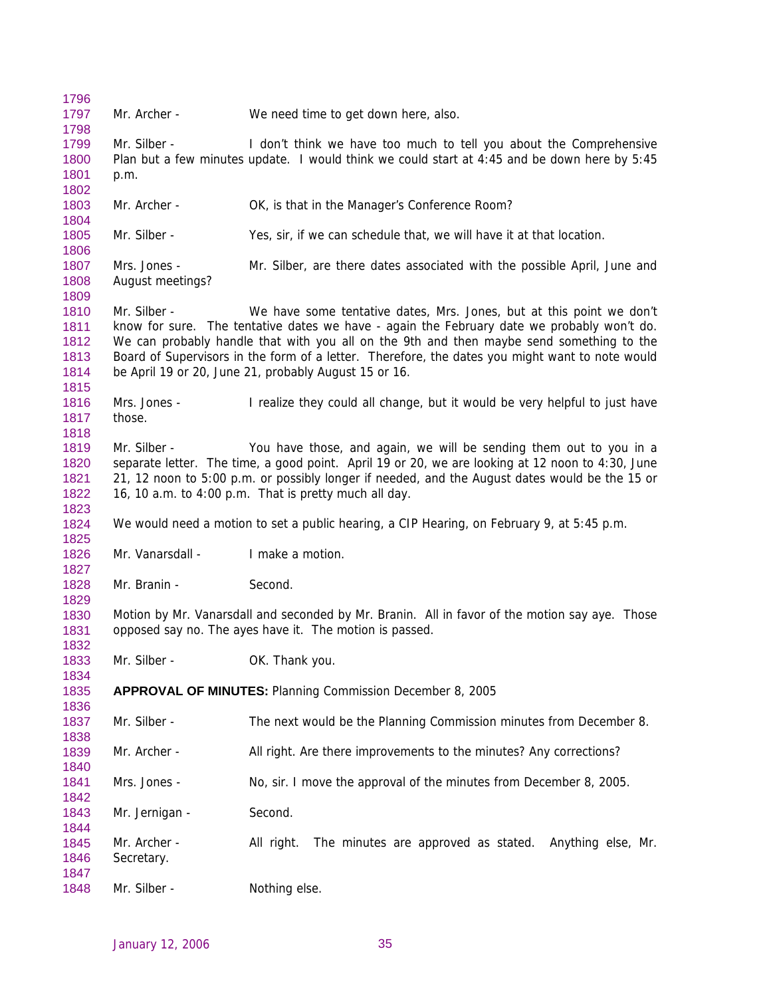Mr. Archer - We need time to get down here, also. Mr. Silber - I don't think we have too much to tell you about the Comprehensive Plan but a few minutes update. I would think we could start at 4:45 and be down here by 5:45 p.m. Mr. Archer - **OK, is that in the Manager's Conference Room?** Mr. Silber - Yes, sir, if we can schedule that, we will have it at that location. Mrs. Jones - Mr. Silber, are there dates associated with the possible April, June and August meetings? Mr. Silber - We have some tentative dates, Mrs. Jones, but at this point we don't know for sure. The tentative dates we have - again the February date we probably won't do. We can probably handle that with you all on the 9th and then maybe send something to the Board of Supervisors in the form of a letter. Therefore, the dates you might want to note would be April 19 or 20, June 21, probably August 15 or 16. Mrs. Jones - I realize they could all change, but it would be very helpful to just have those. Mr. Silber - You have those, and again, we will be sending them out to you in a separate letter. The time, a good point. April 19 or 20, we are looking at 12 noon to 4:30, June 21, 12 noon to 5:00 p.m. or possibly longer if needed, and the August dates would be the 15 or 16, 10 a.m. to 4:00 p.m. That is pretty much all day. We would need a motion to set a public hearing, a CIP Hearing, on February 9, at 5:45 p.m. Mr. Vanarsdall - I make a motion. Mr. Branin - Second. Motion by Mr. Vanarsdall and seconded by Mr. Branin. All in favor of the motion say aye. Those opposed say no. The ayes have it. The motion is passed. Mr. Silber - **OK. Thank you. APPROVAL OF MINUTES:** Planning Commission December 8, 2005 Mr. Silber - The next would be the Planning Commission minutes from December 8. Mr. Archer - All right. Are there improvements to the minutes? Any corrections? Mrs. Jones - No, sir. I move the approval of the minutes from December 8, 2005. Mr. Jernigan - Second. Mr. Archer - All right. The minutes are approved as stated. Anything else, Mr. Secretary. Mr. Silber - Nothing else.